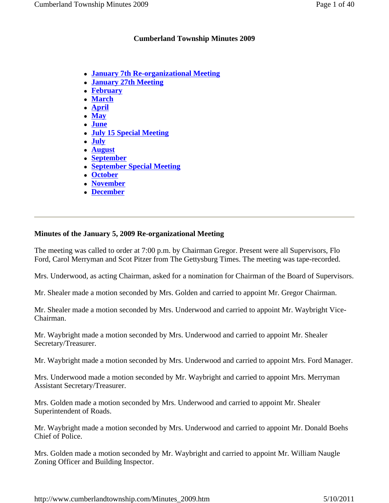# **Cumberland Township Minutes 2009**

- **January 7th Re-organizational Meeting**
- **January 27th Meeting**
- **February**
- **March**
- **April**
- **May**
- **June**
- **July 15 Special Meeting**
- **July**
- **August**
- **September**
- **September Special Meeting**
- **October**
- **November**
- **December**

# **Minutes of the January 5, 2009 Re-organizational Meeting**

The meeting was called to order at 7:00 p.m. by Chairman Gregor. Present were all Supervisors, Flo Ford, Carol Merryman and Scot Pitzer from The Gettysburg Times. The meeting was tape-recorded.

Mrs. Underwood, as acting Chairman, asked for a nomination for Chairman of the Board of Supervisors.

Mr. Shealer made a motion seconded by Mrs. Golden and carried to appoint Mr. Gregor Chairman.

Mr. Shealer made a motion seconded by Mrs. Underwood and carried to appoint Mr. Waybright Vice-Chairman.

Mr. Waybright made a motion seconded by Mrs. Underwood and carried to appoint Mr. Shealer Secretary/Treasurer.

Mr. Waybright made a motion seconded by Mrs. Underwood and carried to appoint Mrs. Ford Manager.

Mrs. Underwood made a motion seconded by Mr. Waybright and carried to appoint Mrs. Merryman Assistant Secretary/Treasurer.

Mrs. Golden made a motion seconded by Mrs. Underwood and carried to appoint Mr. Shealer Superintendent of Roads.

Mr. Waybright made a motion seconded by Mrs. Underwood and carried to appoint Mr. Donald Boehs Chief of Police.

Mrs. Golden made a motion seconded by Mr. Waybright and carried to appoint Mr. William Naugle Zoning Officer and Building Inspector.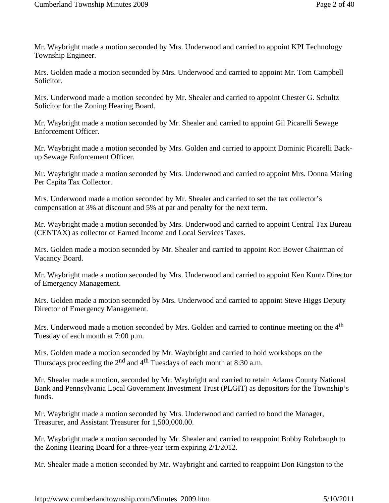Mr. Waybright made a motion seconded by Mrs. Underwood and carried to appoint KPI Technology Township Engineer.

Mrs. Golden made a motion seconded by Mrs. Underwood and carried to appoint Mr. Tom Campbell Solicitor.

Mrs. Underwood made a motion seconded by Mr. Shealer and carried to appoint Chester G. Schultz Solicitor for the Zoning Hearing Board.

Mr. Waybright made a motion seconded by Mr. Shealer and carried to appoint Gil Picarelli Sewage Enforcement Officer.

Mr. Waybright made a motion seconded by Mrs. Golden and carried to appoint Dominic Picarelli Backup Sewage Enforcement Officer.

Mr. Waybright made a motion seconded by Mrs. Underwood and carried to appoint Mrs. Donna Maring Per Capita Tax Collector.

Mrs. Underwood made a motion seconded by Mr. Shealer and carried to set the tax collector's compensation at 3% at discount and 5% at par and penalty for the next term.

Mr. Waybright made a motion seconded by Mrs. Underwood and carried to appoint Central Tax Bureau (CENTAX) as collector of Earned Income and Local Services Taxes.

Mrs. Golden made a motion seconded by Mr. Shealer and carried to appoint Ron Bower Chairman of Vacancy Board.

Mr. Waybright made a motion seconded by Mrs. Underwood and carried to appoint Ken Kuntz Director of Emergency Management.

Mrs. Golden made a motion seconded by Mrs. Underwood and carried to appoint Steve Higgs Deputy Director of Emergency Management.

Mrs. Underwood made a motion seconded by Mrs. Golden and carried to continue meeting on the 4<sup>th</sup> Tuesday of each month at 7:00 p.m.

Mrs. Golden made a motion seconded by Mr. Waybright and carried to hold workshops on the Thursdays proceeding the  $2<sup>nd</sup>$  and  $4<sup>th</sup>$  Tuesdays of each month at 8:30 a.m.

Mr. Shealer made a motion, seconded by Mr. Waybright and carried to retain Adams County National Bank and Pennsylvania Local Government Investment Trust (PLGIT) as depositors for the Township's funds.

Mr. Waybright made a motion seconded by Mrs. Underwood and carried to bond the Manager, Treasurer, and Assistant Treasurer for 1,500,000.00.

Mr. Waybright made a motion seconded by Mr. Shealer and carried to reappoint Bobby Rohrbaugh to the Zoning Hearing Board for a three-year term expiring 2/1/2012.

Mr. Shealer made a motion seconded by Mr. Waybright and carried to reappoint Don Kingston to the

http://www.cumberlandtownship.com/Minutes\_2009.htm 5/10/2011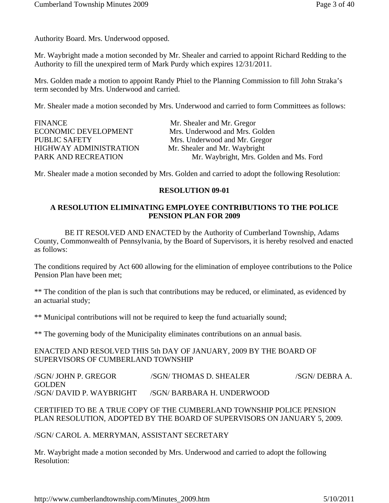Authority Board. Mrs. Underwood opposed.

Mr. Waybright made a motion seconded by Mr. Shealer and carried to appoint Richard Redding to the Authority to fill the unexpired term of Mark Purdy which expires 12/31/2011.

Mrs. Golden made a motion to appoint Randy Phiel to the Planning Commission to fill John Straka's term seconded by Mrs. Underwood and carried.

Mr. Shealer made a motion seconded by Mrs. Underwood and carried to form Committees as follows:

| <b>FINANCE</b>                | Mr. Shealer and Mr. Gregor              |
|-------------------------------|-----------------------------------------|
| <b>ECONOMIC DEVELOPMENT</b>   | Mrs. Underwood and Mrs. Golden          |
| <b>PUBLIC SAFETY</b>          | Mrs. Underwood and Mr. Gregor           |
| <b>HIGHWAY ADMINISTRATION</b> | Mr. Shealer and Mr. Waybright           |
| PARK AND RECREATION           | Mr. Waybright, Mrs. Golden and Ms. Ford |

Mr. Shealer made a motion seconded by Mrs. Golden and carried to adopt the following Resolution:

#### **RESOLUTION 09-01**

### **A RESOLUTION ELIMINATING EMPLOYEE CONTRIBUTIONS TO THE POLICE PENSION PLAN FOR 2009**

 BE IT RESOLVED AND ENACTED by the Authority of Cumberland Township, Adams County, Commonwealth of Pennsylvania, by the Board of Supervisors, it is hereby resolved and enacted as follows:

The conditions required by Act 600 allowing for the elimination of employee contributions to the Police Pension Plan have been met;

\*\* The condition of the plan is such that contributions may be reduced, or eliminated, as evidenced by an actuarial study;

\*\* Municipal contributions will not be required to keep the fund actuarially sound;

\*\* The governing body of the Municipality eliminates contributions on an annual basis.

ENACTED AND RESOLVED THIS 5th DAY OF JANUARY, 2009 BY THE BOARD OF SUPERVISORS OF CUMBERLAND TOWNSHIP

/SGN/ JOHN P. GREGOR /SGN/ THOMAS D. SHEALER /SGN/ DEBRA A. GOLDEN /SGN/ DAVID P. WAYBRIGHT /SGN/ BARBARA H. UNDERWOOD

# CERTIFIED TO BE A TRUE COPY OF THE CUMBERLAND TOWNSHIP POLICE PENSION PLAN RESOLUTION, ADOPTED BY THE BOARD OF SUPERVISORS ON JANUARY 5, 2009.

/SGN/ CAROL A. MERRYMAN, ASSISTANT SECRETARY

Mr. Waybright made a motion seconded by Mrs. Underwood and carried to adopt the following Resolution: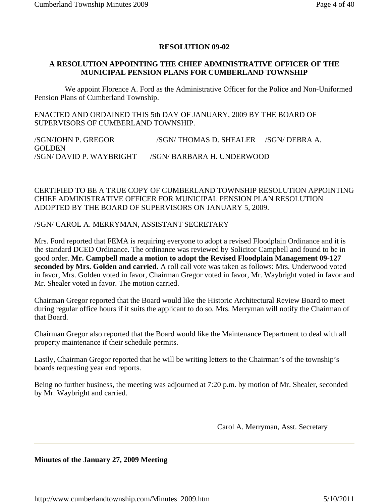## **RESOLUTION 09-02**

### **A RESOLUTION APPOINTING THE CHIEF ADMINISTRATIVE OFFICER OF THE MUNICIPAL PENSION PLANS FOR CUMBERLAND TOWNSHIP**

 We appoint Florence A. Ford as the Administrative Officer for the Police and Non-Uniformed Pension Plans of Cumberland Township.

ENACTED AND ORDAINED THIS 5th DAY OF JANUARY, 2009 BY THE BOARD OF SUPERVISORS OF CUMBERLAND TOWNSHIP.

/SGN/JOHN P. GREGOR /SGN/ THOMAS D. SHEALER /SGN/ DEBRA A. **GOLDEN** /SGN/ DAVID P. WAYBRIGHT /SGN/ BARBARA H. UNDERWOOD

## CERTIFIED TO BE A TRUE COPY OF CUMBERLAND TOWNSHIP RESOLUTION APPOINTING CHIEF ADMINISTRATIVE OFFICER FOR MUNICIPAL PENSION PLAN RESOLUTION ADOPTED BY THE BOARD OF SUPERVISORS ON JANUARY 5, 2009.

#### /SGN/ CAROL A. MERRYMAN, ASSISTANT SECRETARY

Mrs. Ford reported that FEMA is requiring everyone to adopt a revised Floodplain Ordinance and it is the standard DCED Ordinance. The ordinance was reviewed by Solicitor Campbell and found to be in good order. **Mr. Campbell made a motion to adopt the Revised Floodplain Management 09-127 seconded by Mrs. Golden and carried.** A roll call vote was taken as follows: Mrs. Underwood voted in favor, Mrs. Golden voted in favor, Chairman Gregor voted in favor, Mr. Waybright voted in favor and Mr. Shealer voted in favor. The motion carried.

Chairman Gregor reported that the Board would like the Historic Architectural Review Board to meet during regular office hours if it suits the applicant to do so. Mrs. Merryman will notify the Chairman of that Board.

Chairman Gregor also reported that the Board would like the Maintenance Department to deal with all property maintenance if their schedule permits.

Lastly, Chairman Gregor reported that he will be writing letters to the Chairman's of the township's boards requesting year end reports.

Being no further business, the meeting was adjourned at 7:20 p.m. by motion of Mr. Shealer, seconded by Mr. Waybright and carried.

Carol A. Merryman, Asst. Secretary

#### **Minutes of the January 27, 2009 Meeting**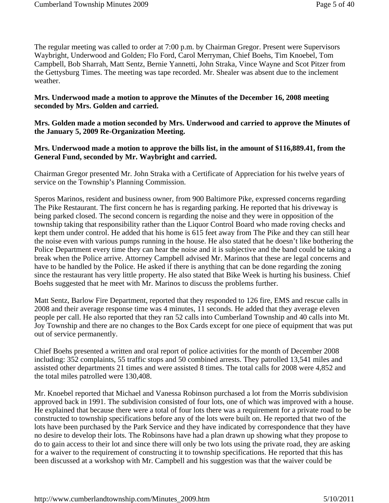The regular meeting was called to order at 7:00 p.m. by Chairman Gregor. Present were Supervisors Waybright, Underwood and Golden; Flo Ford, Carol Merryman, Chief Boehs, Tim Knoebel, Tom Campbell, Bob Sharrah, Matt Sentz, Bernie Yannetti, John Straka, Vince Wayne and Scot Pitzer from the Gettysburg Times. The meeting was tape recorded. Mr. Shealer was absent due to the inclement weather.

### **Mrs. Underwood made a motion to approve the Minutes of the December 16, 2008 meeting seconded by Mrs. Golden and carried.**

#### **Mrs. Golden made a motion seconded by Mrs. Underwood and carried to approve the Minutes of the January 5, 2009 Re-Organization Meeting.**

### **Mrs. Underwood made a motion to approve the bills list, in the amount of \$116,889.41, from the General Fund, seconded by Mr. Waybright and carried.**

Chairman Gregor presented Mr. John Straka with a Certificate of Appreciation for his twelve years of service on the Township's Planning Commission.

Speros Marinos, resident and business owner, from 900 Baltimore Pike, expressed concerns regarding The Pike Restaurant. The first concern he has is regarding parking. He reported that his driveway is being parked closed. The second concern is regarding the noise and they were in opposition of the township taking that responsibility rather than the Liquor Control Board who made roving checks and kept them under control. He added that his home is 615 feet away from The Pike and they can still hear the noise even with various pumps running in the house. He also stated that he doesn't like bothering the Police Department every time they can hear the noise and it is subjective and the band could be taking a break when the Police arrive. Attorney Campbell advised Mr. Marinos that these are legal concerns and have to be handled by the Police. He asked if there is anything that can be done regarding the zoning since the restaurant has very little property. He also stated that Bike Week is hurting his business. Chief Boehs suggested that he meet with Mr. Marinos to discuss the problems further.

Matt Sentz, Barlow Fire Department, reported that they responded to 126 fire, EMS and rescue calls in 2008 and their average response time was 4 minutes, 11 seconds. He added that they average eleven people per call. He also reported that they ran 52 calls into Cumberland Township and 40 calls into Mt. Joy Township and there are no changes to the Box Cards except for one piece of equipment that was put out of service permanently.

Chief Boehs presented a written and oral report of police activities for the month of December 2008 including: 352 complaints, 55 traffic stops and 50 combined arrests. They patrolled 13,541 miles and assisted other departments 21 times and were assisted 8 times. The total calls for 2008 were 4,852 and the total miles patrolled were 130,408.

Mr. Knoebel reported that Michael and Vanessa Robinson purchased a lot from the Morris subdivision approved back in 1991. The subdivision consisted of four lots, one of which was improved with a house. He explained that because there were a total of four lots there was a requirement for a private road to be constructed to township specifications before any of the lots were built on. He reported that two of the lots have been purchased by the Park Service and they have indicated by correspondence that they have no desire to develop their lots. The Robinsons have had a plan drawn up showing what they propose to do to gain access to their lot and since there will only be two lots using the private road, they are asking for a waiver to the requirement of constructing it to township specifications. He reported that this has been discussed at a workshop with Mr. Campbell and his suggestion was that the waiver could be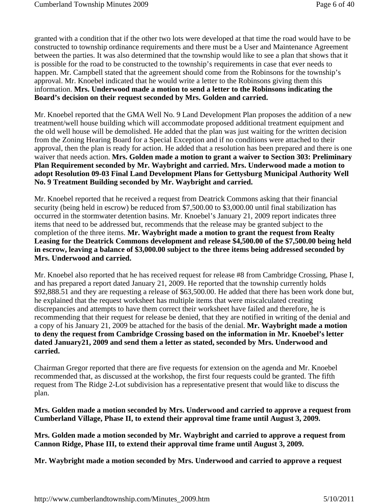granted with a condition that if the other two lots were developed at that time the road would have to be constructed to township ordinance requirements and there must be a User and Maintenance Agreement between the parties. It was also determined that the township would like to see a plan that shows that it is possible for the road to be constructed to the township's requirements in case that ever needs to happen. Mr. Campbell stated that the agreement should come from the Robinsons for the township's approval. Mr. Knoebel indicated that he would write a letter to the Robinsons giving them this information. **Mrs. Underwood made a motion to send a letter to the Robinsons indicating the Board's decision on their request seconded by Mrs. Golden and carried.** 

Mr. Knoebel reported that the GMA Well No. 9 Land Development Plan proposes the addition of a new treatment/well house building which will accommodate proposed additional treatment equipment and the old well house will be demolished. He added that the plan was just waiting for the written decision from the Zoning Hearing Board for a Special Exception and if no conditions were attached to their approval, then the plan is ready for action. He added that a resolution has been prepared and there is one waiver that needs action. **Mrs. Golden made a motion to grant a waiver to Section 303: Preliminary Plan Requirement seconded by Mr. Waybright and carried. Mrs. Underwood made a motion to adopt Resolution 09-03 Final Land Development Plans for Gettysburg Municipal Authority Well No. 9 Treatment Building seconded by Mr. Waybright and carried.**

Mr. Knoebel reported that he received a request from Deatrick Commons asking that their financial security (being held in escrow) be reduced from \$7,500.00 to \$3,000.00 until final stabilization has occurred in the stormwater detention basins. Mr. Knoebel's January 21, 2009 report indicates three items that need to be addressed but, recommends that the release may be granted subject to the completion of the three items. **Mr. Waybright made a motion to grant the request from Realty Leasing for the Deatrick Commons development and release \$4,500.00 of the \$7,500.00 being held in escrow, leaving a balance of \$3,000.00 subject to the three items being addressed seconded by Mrs. Underwood and carried.**

Mr. Knoebel also reported that he has received request for release #8 from Cambridge Crossing, Phase I, and has prepared a report dated January 21, 2009. He reported that the township currently holds \$92,888.51 and they are requesting a release of \$63,500.00. He added that there has been work done but, he explained that the request worksheet has multiple items that were miscalculated creating discrepancies and attempts to have them correct their worksheet have failed and therefore, he is recommending that their request for release be denied, that they are notified in writing of the denial and a copy of his January 21, 2009 be attached for the basis of the denial. **Mr. Waybright made a motion to deny the request from Cambridge Crossing based on the information in Mr. Knoebel's letter dated January21, 2009 and send them a letter as stated, seconded by Mrs. Underwood and carried.**

Chairman Gregor reported that there are five requests for extension on the agenda and Mr. Knoebel recommended that, as discussed at the workshop, the first four requests could be granted. The fifth request from The Ridge 2-Lot subdivision has a representative present that would like to discuss the plan.

**Mrs. Golden made a motion seconded by Mrs. Underwood and carried to approve a request from Cumberland Village, Phase II, to extend their approval time frame until August 3, 2009.**

**Mrs. Golden made a motion seconded by Mr. Waybright and carried to approve a request from Cannon Ridge, Phase III, to extend their approval time frame until August 3, 2009.**

**Mr. Waybright made a motion seconded by Mrs. Underwood and carried to approve a request**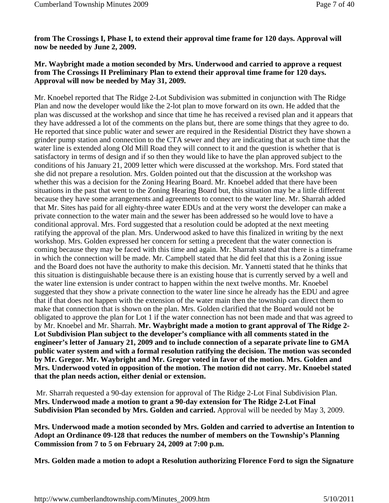**from The Crossings I, Phase I, to extend their approval time frame for 120 days. Approval will now be needed by June 2, 2009.**

# **Mr. Waybright made a motion seconded by Mrs. Underwood and carried to approve a request from The Crossings II Preliminary Plan to extend their approval time frame for 120 days. Approval will now be needed by May 31, 2009.**

Mr. Knoebel reported that The Ridge 2-Lot Subdivision was submitted in conjunction with The Ridge Plan and now the developer would like the 2-lot plan to move forward on its own. He added that the plan was discussed at the workshop and since that time he has received a revised plan and it appears that they have addressed a lot of the comments on the plans but, there are some things that they agree to do. He reported that since public water and sewer are required in the Residential District they have shown a grinder pump station and connection to the CTA sewer and they are indicating that at such time that the water line is extended along Old Mill Road they will connect to it and the question is whether that is satisfactory in terms of design and if so then they would like to have the plan approved subject to the conditions of his January 21, 2009 letter which were discussed at the workshop. Mrs. Ford stated that she did not prepare a resolution. Mrs. Golden pointed out that the discussion at the workshop was whether this was a decision for the Zoning Hearing Board. Mr. Knoebel added that there have been situations in the past that went to the Zoning Hearing Board but, this situation may be a little different because they have some arrangements and agreements to connect to the water line. Mr. Sharrah added that Mr. Sites has paid for all eighty-three water EDUs and at the very worst the developer can make a private connection to the water main and the sewer has been addressed so he would love to have a conditional approval. Mrs. Ford suggested that a resolution could be adopted at the next meeting ratifying the approval of the plan. Mrs. Underwood asked to have this finalized in writing by the next workshop. Mrs. Golden expressed her concern for setting a precedent that the water connection is coming because they may be faced with this time and again. Mr. Sharrah stated that there is a timeframe in which the connection will be made. Mr. Campbell stated that he did feel that this is a Zoning issue and the Board does not have the authority to make this decision. Mr. Yannetti stated that he thinks that this situation is distinguishable because there is an existing house that is currently served by a well and the water line extension is under contract to happen within the next twelve months. Mr. Knoebel suggested that they show a private connection to the water line since he already has the EDU and agree that if that does not happen with the extension of the water main then the township can direct them to make that connection that is shown on the plan. Mrs. Golden clarified that the Board would not be obligated to approve the plan for Lot 1 if the water connection has not been made and that was agreed to by Mr. Knoebel and Mr. Sharrah. **Mr. Waybright made a motion to grant approval of The Ridge 2- Lot Subdivision Plan subject to the developer's compliance with all comments stated in the engineer's letter of January 21, 2009 and to include connection of a separate private line to GMA public water system and with a formal resolution ratifying the decision. The motion was seconded by Mr. Gregor. Mr. Waybright and Mr. Gregor voted in favor of the motion. Mrs. Golden and Mrs. Underwood voted in opposition of the motion. The motion did not carry. Mr. Knoebel stated that the plan needs action, either denial or extension.**

Mr. Sharrah requested a 90-day extension for approval of The Ridge 2-Lot Final Subdivision Plan. **Mrs. Underwood made a motion to grant a 90-day extension for The Ridge 2-Lot Final Subdivision Plan seconded by Mrs. Golden and carried.** Approval will be needed by May 3, 2009.

**Mrs. Underwood made a motion seconded by Mrs. Golden and carried to advertise an Intention to Adopt an Ordinance 09-128 that reduces the number of members on the Township's Planning Commission from 7 to 5 on February 24, 2009 at 7:00 p.m.**

**Mrs. Golden made a motion to adopt a Resolution authorizing Florence Ford to sign the Signature**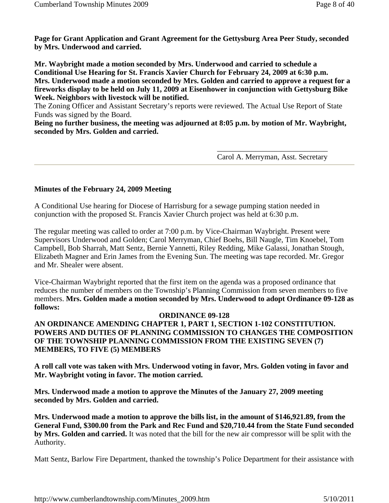**Page for Grant Application and Grant Agreement for the Gettysburg Area Peer Study, seconded by Mrs. Underwood and carried.**

**Mr. Waybright made a motion seconded by Mrs. Underwood and carried to schedule a Conditional Use Hearing for St. Francis Xavier Church for February 24, 2009 at 6:30 p.m. Mrs. Underwood made a motion seconded by Mrs. Golden and carried to approve a request for a fireworks display to be held on July 11, 2009 at Eisenhower in conjunction with Gettysburg Bike Week. Neighbors with livestock will be notified.**

The Zoning Officer and Assistant Secretary's reports were reviewed. The Actual Use Report of State Funds was signed by the Board.

**Being no further business, the meeting was adjourned at 8:05 p.m. by motion of Mr. Waybright, seconded by Mrs. Golden and carried.**

> \_\_\_\_\_\_\_\_\_\_\_\_\_\_\_\_\_\_\_\_\_\_\_\_\_\_\_\_\_ Carol A. Merryman, Asst. Secretary

# **Minutes of the February 24, 2009 Meeting**

A Conditional Use hearing for Diocese of Harrisburg for a sewage pumping station needed in conjunction with the proposed St. Francis Xavier Church project was held at 6:30 p.m.

The regular meeting was called to order at 7:00 p.m. by Vice-Chairman Waybright. Present were Supervisors Underwood and Golden; Carol Merryman, Chief Boehs, Bill Naugle, Tim Knoebel, Tom Campbell, Bob Sharrah, Matt Sentz, Bernie Yannetti, Riley Redding, Mike Galassi, Jonathan Stough, Elizabeth Magner and Erin James from the Evening Sun. The meeting was tape recorded. Mr. Gregor and Mr. Shealer were absent.

Vice-Chairman Waybright reported that the first item on the agenda was a proposed ordinance that reduces the number of members on the Township's Planning Commission from seven members to five members. **Mrs. Golden made a motion seconded by Mrs. Underwood to adopt Ordinance 09-128 as follows:** 

#### **ORDINANCE 09-128**

**AN ORDINANCE AMENDING CHAPTER 1, PART 1, SECTION 1-102 CONSTITUTION. POWERS AND DUTIES OF PLANNING COMMISSION TO CHANGES THE COMPOSITION OF THE TOWNSHIP PLANNING COMMISSION FROM THE EXISTING SEVEN (7) MEMBERS, TO FIVE (5) MEMBERS**

**A roll call vote was taken with Mrs. Underwood voting in favor, Mrs. Golden voting in favor and Mr. Waybright voting in favor. The motion carried.**

**Mrs. Underwood made a motion to approve the Minutes of the January 27, 2009 meeting seconded by Mrs. Golden and carried.**

**Mrs. Underwood made a motion to approve the bills list, in the amount of \$146,921.89, from the General Fund, \$300.00 from the Park and Rec Fund and \$20,710.44 from the State Fund seconded by Mrs. Golden and carried.** It was noted that the bill for the new air compressor will be split with the Authority.

Matt Sentz, Barlow Fire Department, thanked the township's Police Department for their assistance with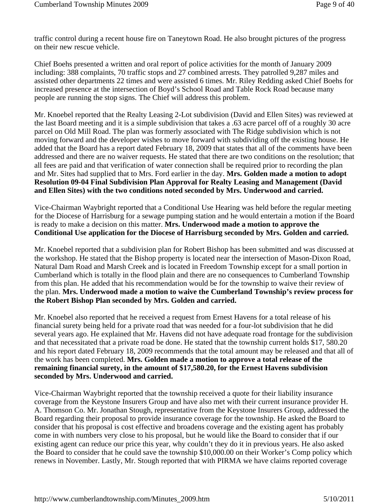traffic control during a recent house fire on Taneytown Road. He also brought pictures of the progress on their new rescue vehicle.

Chief Boehs presented a written and oral report of police activities for the month of January 2009 including: 388 complaints, 70 traffic stops and 27 combined arrests. They patrolled 9,287 miles and assisted other departments 22 times and were assisted 6 times. Mr. Riley Redding asked Chief Boehs for increased presence at the intersection of Boyd's School Road and Table Rock Road because many people are running the stop signs. The Chief will address this problem.

Mr. Knoebel reported that the Realty Leasing 2-Lot subdivision (David and Ellen Sites) was reviewed at the last Board meeting and it is a simple subdivision that takes a .63 acre parcel off of a roughly 30 acre parcel on Old Mill Road. The plan was formerly associated with The Ridge subdivision which is not moving forward and the developer wishes to move forward with subdividing off the existing house. He added that the Board has a report dated February 18, 2009 that states that all of the comments have been addressed and there are no waiver requests. He stated that there are two conditions on the resolution; that all fees are paid and that verification of water connection shall be required prior to recording the plan and Mr. Sites had supplied that to Mrs. Ford earlier in the day. **Mrs. Golden made a motion to adopt Resolution 09-04 Final Subdivision Plan Approval for Realty Leasing and Management (David and Ellen Sites) with the two conditions noted seconded by Mrs. Underwood and carried.**

Vice-Chairman Waybright reported that a Conditional Use Hearing was held before the regular meeting for the Diocese of Harrisburg for a sewage pumping station and he would entertain a motion if the Board is ready to make a decision on this matter. **Mrs. Underwood made a motion to approve the Conditional Use application for the Diocese of Harrisburg seconded by Mrs. Golden and carried.**

Mr. Knoebel reported that a subdivision plan for Robert Bishop has been submitted and was discussed at the workshop. He stated that the Bishop property is located near the intersection of Mason-Dixon Road, Natural Dam Road and Marsh Creek and is located in Freedom Township except for a small portion in Cumberland which is totally in the flood plain and there are no consequences to Cumberland Township from this plan. He added that his recommendation would be for the township to waive their review of the plan. **Mrs. Underwood made a motion to waive the Cumberland Township's review process for the Robert Bishop Plan seconded by Mrs. Golden and carried.**

Mr. Knoebel also reported that he received a request from Ernest Havens for a total release of his financial surety being held for a private road that was needed for a four-lot subdivision that he did several years ago. He explained that Mr. Havens did not have adequate road frontage for the subdivision and that necessitated that a private road be done. He stated that the township current holds \$17, 580.20 and his report dated February 18, 2009 recommends that the total amount may be released and that all of the work has been completed. **Mrs. Golden made a motion to approve a total release of the remaining financial surety, in the amount of \$17,580.20, for the Ernest Havens subdivision seconded by Mrs. Underwood and carried.**

Vice-Chairman Waybright reported that the township received a quote for their liability insurance coverage from the Keystone Insurers Group and have also met with their current insurance provider H. A. Thomson Co. Mr. Jonathan Stough, representative from the Keystone Insurers Group, addressed the Board regarding their proposal to provide insurance coverage for the township. He asked the Board to consider that his proposal is cost effective and broadens coverage and the existing agent has probably come in with numbers very close to his proposal, but he would like the Board to consider that if our existing agent can reduce our price this year, why couldn't they do it in previous years. He also asked the Board to consider that he could save the township \$10,000.00 on their Worker's Comp policy which renews in November. Lastly, Mr. Stough reported that with PIRMA we have claims reported coverage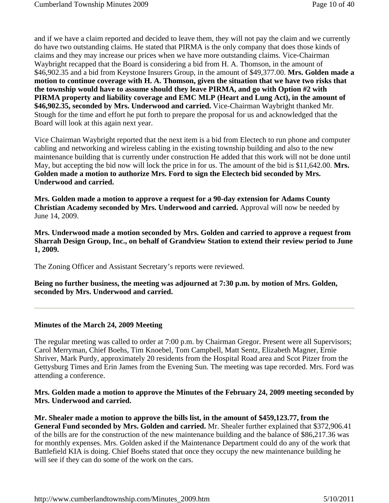and if we have a claim reported and decided to leave them, they will not pay the claim and we currently do have two outstanding claims. He stated that PIRMA is the only company that does those kinds of claims and they may increase our prices when we have more outstanding claims. Vice-Chairman Waybright recapped that the Board is considering a bid from H. A. Thomson, in the amount of \$46,902.35 and a bid from Keystone Insurers Group, in the amount of \$49,377.00. **Mrs. Golden made a motion to continue coverage with H. A. Thomson, given the situation that we have two risks that the township would have to assume should they leave PIRMA, and go with Option #2 with PIRMA property and liability coverage and EMC MLP (Heart and Lung Act), in the amount of \$46,902.35, seconded by Mrs. Underwood and carried.** Vice-Chairman Waybright thanked Mr. Stough for the time and effort he put forth to prepare the proposal for us and acknowledged that the Board will look at this again next year.

Vice Chairman Waybright reported that the next item is a bid from Electech to run phone and computer cabling and networking and wireless cabling in the existing township building and also to the new maintenance building that is currently under construction He added that this work will not be done until May, but accepting the bid now will lock the price in for us. The amount of the bid is \$11,642.00. **Mrs. Golden made a motion to authorize Mrs. Ford to sign the Electech bid seconded by Mrs. Underwood and carried.**

**Mrs. Golden made a motion to approve a request for a 90-day extension for Adams County Christian Academy seconded by Mrs. Underwood and carried.** Approval will now be needed by June 14, 2009.

**Mrs. Underwood made a motion seconded by Mrs. Golden and carried to approve a request from Sharrah Design Group, Inc., on behalf of Grandview Station to extend their review period to June 1, 2009.**

The Zoning Officer and Assistant Secretary's reports were reviewed.

**Being no further business, the meeting was adjourned at 7:30 p.m. by motion of Mrs. Golden, seconded by Mrs. Underwood and carried.**

#### **Minutes of the March 24, 2009 Meeting**

The regular meeting was called to order at 7:00 p.m. by Chairman Gregor. Present were all Supervisors; Carol Merryman, Chief Boehs, Tim Knoebel, Tom Campbell, Matt Sentz, Elizabeth Magner, Ernie Shriver, Mark Purdy, approximately 20 residents from the Hospital Road area and Scot Pitzer from the Gettysburg Times and Erin James from the Evening Sun. The meeting was tape recorded. Mrs. Ford was attending a conference.

#### **Mrs. Golden made a motion to approve the Minutes of the February 24, 2009 meeting seconded by Mrs. Underwood and carried.**

**Mr. Shealer made a motion to approve the bills list, in the amount of \$459,123.77, from the General Fund seconded by Mrs. Golden and carried.** Mr. Shealer further explained that \$372,906.41 of the bills are for the construction of the new maintenance building and the balance of \$86,217.36 was for monthly expenses. Mrs. Golden asked if the Maintenance Department could do any of the work that Battlefield KIA is doing. Chief Boehs stated that once they occupy the new maintenance building he will see if they can do some of the work on the cars.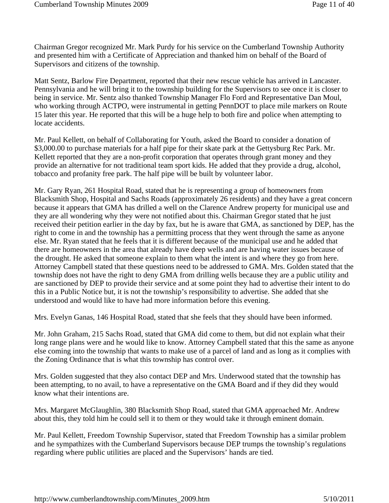Chairman Gregor recognized Mr. Mark Purdy for his service on the Cumberland Township Authority and presented him with a Certificate of Appreciation and thanked him on behalf of the Board of Supervisors and citizens of the township.

Matt Sentz, Barlow Fire Department, reported that their new rescue vehicle has arrived in Lancaster. Pennsylvania and he will bring it to the township building for the Supervisors to see once it is closer to being in service. Mr. Sentz also thanked Township Manager Flo Ford and Representative Dan Moul, who working through ACTPO, were instrumental in getting PennDOT to place mile markers on Route 15 later this year. He reported that this will be a huge help to both fire and police when attempting to locate accidents.

Mr. Paul Kellett, on behalf of Collaborating for Youth, asked the Board to consider a donation of \$3,000.00 to purchase materials for a half pipe for their skate park at the Gettysburg Rec Park. Mr. Kellett reported that they are a non-profit corporation that operates through grant money and they provide an alternative for not traditional team sport kids. He added that they provide a drug, alcohol, tobacco and profanity free park. The half pipe will be built by volunteer labor.

Mr. Gary Ryan, 261 Hospital Road, stated that he is representing a group of homeowners from Blacksmith Shop, Hospital and Sachs Roads (approximately 26 residents) and they have a great concern because it appears that GMA has drilled a well on the Clarence Andrew property for municipal use and they are all wondering why they were not notified about this. Chairman Gregor stated that he just received their petition earlier in the day by fax, but he is aware that GMA, as sanctioned by DEP, has the right to come in and the township has a permitting process that they went through the same as anyone else. Mr. Ryan stated that he feels that it is different because of the municipal use and he added that there are homeowners in the area that already have deep wells and are having water issues because of the drought. He asked that someone explain to them what the intent is and where they go from here. Attorney Campbell stated that these questions need to be addressed to GMA. Mrs. Golden stated that the township does not have the right to deny GMA from drilling wells because they are a public utility and are sanctioned by DEP to provide their service and at some point they had to advertise their intent to do this in a Public Notice but, it is not the township's responsibility to advertise. She added that she understood and would like to have had more information before this evening.

Mrs. Evelyn Ganas, 146 Hospital Road, stated that she feels that they should have been informed.

Mr. John Graham, 215 Sachs Road, stated that GMA did come to them, but did not explain what their long range plans were and he would like to know. Attorney Campbell stated that this the same as anyone else coming into the township that wants to make use of a parcel of land and as long as it complies with the Zoning Ordinance that is what this township has control over.

Mrs. Golden suggested that they also contact DEP and Mrs. Underwood stated that the township has been attempting, to no avail, to have a representative on the GMA Board and if they did they would know what their intentions are.

Mrs. Margaret McGlaughlin, 380 Blacksmith Shop Road, stated that GMA approached Mr. Andrew about this, they told him he could sell it to them or they would take it through eminent domain.

Mr. Paul Kellett, Freedom Township Supervisor, stated that Freedom Township has a similar problem and he sympathizes with the Cumberland Supervisors because DEP trumps the township's regulations regarding where public utilities are placed and the Supervisors' hands are tied.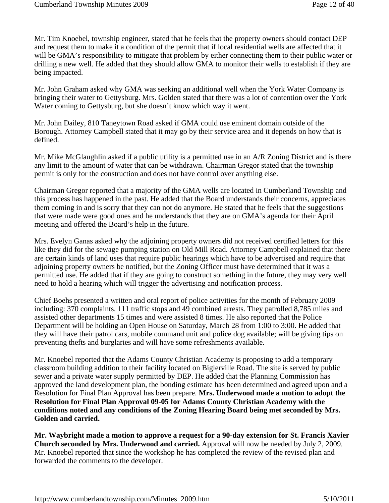Mr. Tim Knoebel, township engineer, stated that he feels that the property owners should contact DEP and request them to make it a condition of the permit that if local residential wells are affected that it will be GMA's responsibility to mitigate that problem by either connecting them to their public water or drilling a new well. He added that they should allow GMA to monitor their wells to establish if they are being impacted.

Mr. John Graham asked why GMA was seeking an additional well when the York Water Company is bringing their water to Gettysburg. Mrs. Golden stated that there was a lot of contention over the York Water coming to Gettysburg, but she doesn't know which way it went.

Mr. John Dailey, 810 Taneytown Road asked if GMA could use eminent domain outside of the Borough. Attorney Campbell stated that it may go by their service area and it depends on how that is defined.

Mr. Mike McGlaughlin asked if a public utility is a permitted use in an A/R Zoning District and is there any limit to the amount of water that can be withdrawn. Chairman Gregor stated that the township permit is only for the construction and does not have control over anything else.

Chairman Gregor reported that a majority of the GMA wells are located in Cumberland Township and this process has happened in the past. He added that the Board understands their concerns, appreciates them coming in and is sorry that they can not do anymore. He stated that he feels that the suggestions that were made were good ones and he understands that they are on GMA's agenda for their April meeting and offered the Board's help in the future.

Mrs. Evelyn Ganas asked why the adjoining property owners did not received certified letters for this like they did for the sewage pumping station on Old Mill Road. Attorney Campbell explained that there are certain kinds of land uses that require public hearings which have to be advertised and require that adjoining property owners be notified, but the Zoning Officer must have determined that it was a permitted use. He added that if they are going to construct something in the future, they may very well need to hold a hearing which will trigger the advertising and notification process.

Chief Boehs presented a written and oral report of police activities for the month of February 2009 including: 370 complaints. 111 traffic stops and 49 combined arrests. They patrolled 8,785 miles and assisted other departments 15 times and were assisted 8 times. He also reported that the Police Department will be holding an Open House on Saturday, March 28 from 1:00 to 3:00. He added that they will have their patrol cars, mobile command unit and police dog available; will be giving tips on preventing thefts and burglaries and will have some refreshments available.

Mr. Knoebel reported that the Adams County Christian Academy is proposing to add a temporary classroom building addition to their facility located on Biglerville Road. The site is served by public sewer and a private water supply permitted by DEP. He added that the Planning Commission has approved the land development plan, the bonding estimate has been determined and agreed upon and a Resolution for Final Plan Approval has been prepare. **Mrs. Underwood made a motion to adopt the Resolution for Final Plan Approval 09-05 for Adams County Christian Academy with the conditions noted and any conditions of the Zoning Hearing Board being met seconded by Mrs. Golden and carried.** 

**Mr. Waybright made a motion to approve a request for a 90-day extension for St. Francis Xavier Church seconded by Mrs. Underwood and carried.** Approval will now be needed by July 2, 2009. Mr. Knoebel reported that since the workshop he has completed the review of the revised plan and forwarded the comments to the developer.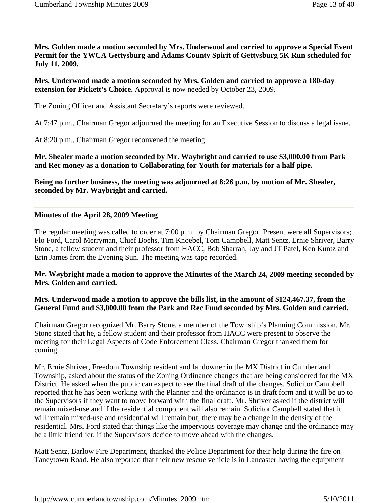**Mrs. Golden made a motion seconded by Mrs. Underwood and carried to approve a Special Event Permit for the YWCA Gettysburg and Adams County Spirit of Gettysburg 5K Run scheduled for July 11, 2009.** 

**Mrs. Underwood made a motion seconded by Mrs. Golden and carried to approve a 180-day extension for Pickett's Choice.** Approval is now needed by October 23, 2009.

The Zoning Officer and Assistant Secretary's reports were reviewed.

At 7:47 p.m., Chairman Gregor adjourned the meeting for an Executive Session to discuss a legal issue.

At 8:20 p.m., Chairman Gregor reconvened the meeting.

**Mr. Shealer made a motion seconded by Mr. Waybright and carried to use \$3,000.00 from Park and Rec money as a donation to Collaborating for Youth for materials for a half pipe.** 

**Being no further business, the meeting was adjourned at 8:26 p.m. by motion of Mr. Shealer, seconded by Mr. Waybright and carried.** 

#### **Minutes of the April 28, 2009 Meeting**

The regular meeting was called to order at 7:00 p.m. by Chairman Gregor. Present were all Supervisors; Flo Ford, Carol Merryman, Chief Boehs, Tim Knoebel, Tom Campbell, Matt Sentz, Ernie Shriver, Barry Stone, a fellow student and their professor from HACC, Bob Sharrah, Jay and JT Patel, Ken Kuntz and Erin James from the Evening Sun. The meeting was tape recorded.

**Mr. Waybright made a motion to approve the Minutes of the March 24, 2009 meeting seconded by Mrs. Golden and carried.**

#### **Mrs. Underwood made a motion to approve the bills list, in the amount of \$124,467.37, from the General Fund and \$3,000.00 from the Park and Rec Fund seconded by Mrs. Golden and carried.**

Chairman Gregor recognized Mr. Barry Stone, a member of the Township's Planning Commission. Mr. Stone stated that he, a fellow student and their professor from HACC were present to observe the meeting for their Legal Aspects of Code Enforcement Class. Chairman Gregor thanked them for coming.

Mr. Ernie Shriver, Freedom Township resident and landowner in the MX District in Cumberland Township, asked about the status of the Zoning Ordinance changes that are being considered for the MX District. He asked when the public can expect to see the final draft of the changes. Solicitor Campbell reported that he has been working with the Planner and the ordinance is in draft form and it will be up to the Supervisors if they want to move forward with the final draft. Mr. Shriver asked if the district will remain mixed-use and if the residential component will also remain. Solicitor Campbell stated that it will remain mixed-use and residential will remain but, there may be a change in the density of the residential. Mrs. Ford stated that things like the impervious coverage may change and the ordinance may be a little friendlier, if the Supervisors decide to move ahead with the changes.

Matt Sentz, Barlow Fire Department, thanked the Police Department for their help during the fire on Taneytown Road. He also reported that their new rescue vehicle is in Lancaster having the equipment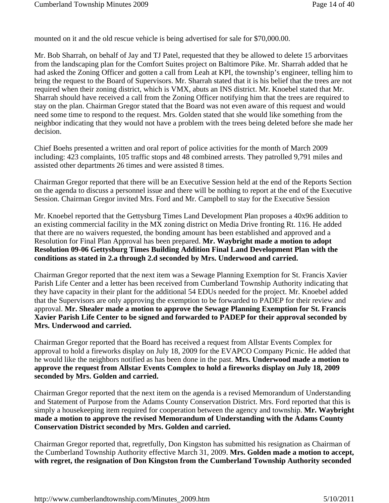mounted on it and the old rescue vehicle is being advertised for sale for \$70,000.00.

Mr. Bob Sharrah, on behalf of Jay and TJ Patel, requested that they be allowed to delete 15 arborvitaes from the landscaping plan for the Comfort Suites project on Baltimore Pike. Mr. Sharrah added that he had asked the Zoning Officer and gotten a call from Leah at KPI, the township's engineer, telling him to bring the request to the Board of Supervisors. Mr. Sharrah stated that it is his belief that the trees are not required when their zoning district, which is VMX, abuts an INS district. Mr. Knoebel stated that Mr. Sharrah should have received a call from the Zoning Officer notifying him that the trees are required to stay on the plan. Chairman Gregor stated that the Board was not even aware of this request and would need some time to respond to the request. Mrs. Golden stated that she would like something from the neighbor indicating that they would not have a problem with the trees being deleted before she made her decision.

Chief Boehs presented a written and oral report of police activities for the month of March 2009 including: 423 complaints, 105 traffic stops and 48 combined arrests. They patrolled 9,791 miles and assisted other departments 26 times and were assisted 8 times.

Chairman Gregor reported that there will be an Executive Session held at the end of the Reports Section on the agenda to discuss a personnel issue and there will be nothing to report at the end of the Executive Session. Chairman Gregor invited Mrs. Ford and Mr. Campbell to stay for the Executive Session

Mr. Knoebel reported that the Gettysburg Times Land Development Plan proposes a 40x96 addition to an existing commercial facility in the MX zoning district on Media Drive fronting Rt. 116. He added that there are no waivers requested, the bonding amount has been established and approved and a Resolution for Final Plan Approval has been prepared. **Mr. Waybright made a motion to adopt Resolution 09-06 Gettysburg Times Building Addition Final Land Development Plan with the conditions as stated in 2.a through 2.d seconded by Mrs. Underwood and carried.**

Chairman Gregor reported that the next item was a Sewage Planning Exemption for St. Francis Xavier Parish Life Center and a letter has been received from Cumberland Township Authority indicating that they have capacity in their plant for the additional 54 EDUs needed for the project. Mr. Knoebel added that the Supervisors are only approving the exemption to be forwarded to PADEP for their review and approval. **Mr. Shealer made a motion to approve the Sewage Planning Exemption for St. Francis Xavier Parish Life Center to be signed and forwarded to PADEP for their approval seconded by Mrs. Underwood and carried.**

Chairman Gregor reported that the Board has received a request from Allstar Events Complex for approval to hold a fireworks display on July 18, 2009 for the EVAPCO Company Picnic. He added that he would like the neighbors notified as has been done in the past. **Mrs. Underwood made a motion to approve the request from Allstar Events Complex to hold a fireworks display on July 18, 2009 seconded by Mrs. Golden and carried.**

Chairman Gregor reported that the next item on the agenda is a revised Memorandum of Understanding and Statement of Purpose from the Adams County Conservation District. Mrs. Ford reported that this is simply a housekeeping item required for cooperation between the agency and township. **Mr. Waybright made a motion to approve the revised Memorandum of Understanding with the Adams County Conservation District seconded by Mrs. Golden and carried.** 

Chairman Gregor reported that, regretfully, Don Kingston has submitted his resignation as Chairman of the Cumberland Township Authority effective March 31, 2009. **Mrs. Golden made a motion to accept, with regret, the resignation of Don Kingston from the Cumberland Township Authority seconded**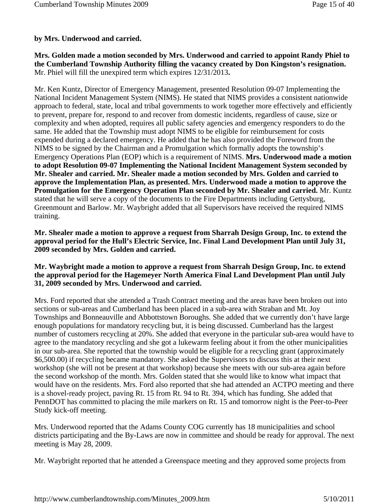# **by Mrs. Underwood and carried.**

**Mrs. Golden made a motion seconded by Mrs. Underwood and carried to appoint Randy Phiel to the Cumberland Township Authority filling the vacancy created by Don Kingston's resignation.**  Mr. Phiel will fill the unexpired term which expires 12/31/2013**.**

Mr. Ken Kuntz, Director of Emergency Management, presented Resolution 09-07 Implementing the National Incident Management System (NIMS). He stated that NIMS provides a consistent nationwide approach to federal, state, local and tribal governments to work together more effectively and efficiently to prevent, prepare for, respond to and recover from domestic incidents, regardless of cause, size or complexity and when adopted, requires all public safety agencies and emergency responders to do the same. He added that the Township must adopt NIMS to be eligible for reimbursement for costs expended during a declared emergency. He added that he has also provided the Foreword from the NIMS to be signed by the Chairman and a Promulgation which formally adopts the township's Emergency Operations Plan (EOP) which is a requirement of NIMS. **Mrs. Underwood made a motion to adopt Resolution 09-07 Implementing the National Incident Management System seconded by Mr. Shealer and carried. Mr. Shealer made a motion seconded by Mrs. Golden and carried to approve the Implementation Plan, as presented. Mrs. Underwood made a motion to approve the Promulgation for the Emergency Operation Plan seconded by Mr. Shealer and carried.** Mr. Kuntz stated that he will serve a copy of the documents to the Fire Departments including Gettysburg, Greenmount and Barlow. Mr. Waybright added that all Supervisors have received the required NIMS training.

**Mr. Shealer made a motion to approve a request from Sharrah Design Group, Inc. to extend the approval period for the Hull's Electric Service, Inc. Final Land Development Plan until July 31, 2009 seconded by Mrs. Golden and carried.**

#### **Mr. Waybright made a motion to approve a request from Sharrah Design Group, Inc. to extend the approval period for the Hagemeyer North America Final Land Development Plan until July 31, 2009 seconded by Mrs. Underwood and carried.**

Mrs. Ford reported that she attended a Trash Contract meeting and the areas have been broken out into sections or sub-areas and Cumberland has been placed in a sub-area with Straban and Mt. Joy Townships and Bonneauville and Abbottstown Boroughs. She added that we currently don't have large enough populations for mandatory recycling but, it is being discussed. Cumberland has the largest number of customers recycling at 20%. She added that everyone in the particular sub-area would have to agree to the mandatory recycling and she got a lukewarm feeling about it from the other municipalities in our sub-area. She reported that the township would be eligible for a recycling grant (approximately \$6,500.00) if recycling became mandatory. She asked the Supervisors to discuss this at their next workshop (she will not be present at that workshop) because she meets with our sub-area again before the second workshop of the month. Mrs. Golden stated that she would like to know what impact that would have on the residents. Mrs. Ford also reported that she had attended an ACTPO meeting and there is a shovel-ready project, paving Rt. 15 from Rt. 94 to Rt. 394, which has funding. She added that PennDOT has committed to placing the mile markers on Rt. 15 and tomorrow night is the Peer-to-Peer Study kick-off meeting.

Mrs. Underwood reported that the Adams County COG currently has 18 municipalities and school districts participating and the By-Laws are now in committee and should be ready for approval. The next meeting is May 28, 2009.

Mr. Waybright reported that he attended a Greenspace meeting and they approved some projects from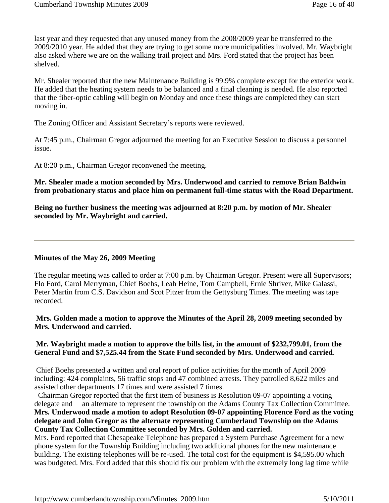last year and they requested that any unused money from the 2008/2009 year be transferred to the 2009/2010 year. He added that they are trying to get some more municipalities involved. Mr. Waybright also asked where we are on the walking trail project and Mrs. Ford stated that the project has been shelved.

Mr. Shealer reported that the new Maintenance Building is 99.9% complete except for the exterior work. He added that the heating system needs to be balanced and a final cleaning is needed. He also reported that the fiber-optic cabling will begin on Monday and once these things are completed they can start moving in.

The Zoning Officer and Assistant Secretary's reports were reviewed.

At 7:45 p.m., Chairman Gregor adjourned the meeting for an Executive Session to discuss a personnel issue.

At 8:20 p.m., Chairman Gregor reconvened the meeting.

**Mr. Shealer made a motion seconded by Mrs. Underwood and carried to remove Brian Baldwin from probationary status and place him on permanent full-time status with the Road Department.** 

**Being no further business the meeting was adjourned at 8:20 p.m. by motion of Mr. Shealer seconded by Mr. Waybright and carried.**

#### **Minutes of the May 26, 2009 Meeting**

The regular meeting was called to order at 7:00 p.m. by Chairman Gregor. Present were all Supervisors; Flo Ford, Carol Merryman, Chief Boehs, Leah Heine, Tom Campbell, Ernie Shriver, Mike Galassi, Peter Martin from C.S. Davidson and Scot Pitzer from the Gettysburg Times. The meeting was tape recorded.

**Mrs. Golden made a motion to approve the Minutes of the April 28, 2009 meeting seconded by Mrs. Underwood and carried.**

#### **Mr. Waybright made a motion to approve the bills list, in the amount of \$232,799.01, from the General Fund and \$7,525.44 from the State Fund seconded by Mrs. Underwood and carried**.

 Chief Boehs presented a written and oral report of police activities for the month of April 2009 including: 424 complaints, 56 traffic stops and 47 combined arrests. They patrolled 8,622 miles and assisted other departments 17 times and were assisted 7 times.

 Chairman Gregor reported that the first item of business is Resolution 09-07 appointing a voting delegate and an alternate to represent the township on the Adams County Tax Collection Committee. **Mrs. Underwood made a motion to adopt Resolution 09-07 appointing Florence Ford as the voting delegate and John Gregor as the alternate representing Cumberland Township on the Adams County Tax Collection Committee seconded by Mrs. Golden and carried.**

Mrs. Ford reported that Chesapeake Telephone has prepared a System Purchase Agreement for a new phone system for the Township Building including two additional phones for the new maintenance building. The existing telephones will be re-used. The total cost for the equipment is \$4,595.00 which was budgeted. Mrs. Ford added that this should fix our problem with the extremely long lag time while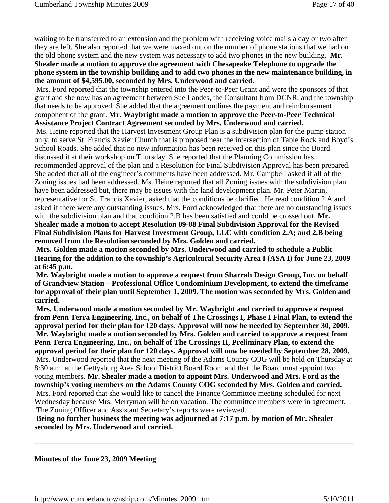waiting to be transferred to an extension and the problem with receiving voice mails a day or two after they are left. She also reported that we were maxed out on the number of phone stations that we had on the old phone system and the new system was necessary to add two phones in the new building. **Mr. Shealer made a motion to approve the agreement with Chesapeake Telephone to upgrade the phone system in the township building and to add two phones in the new maintenance building, in the amount of \$4,595.00, seconded by Mrs. Underwood and carried.**

Mrs. Ford reported that the township entered into the Peer-to-Peer Grant and were the sponsors of that grant and she now has an agreement between Sue Landes, the Consultant from DCNR, and the township that needs to be approved. She added that the agreement outlines the payment and reimbursement component of the grant. **Mr. Waybright made a motion to approve the Peer-to-Peer Technical Assistance Project Contract Agreement seconded by Mrs. Underwood and carried.**

Ms. Heine reported that the Harvest Investment Group Plan is a subdivision plan for the pump station only, to serve St. Francis Xavier Church that is proposed near the intersection of Table Rock and Boyd's School Roads. She added that no new information has been received on this plan since the Board discussed it at their workshop on Thursday. She reported that the Planning Commission has recommended approval of the plan and a Resolution for Final Subdivision Approval has been prepared. She added that all of the engineer's comments have been addressed. Mr. Campbell asked if all of the Zoning issues had been addressed. Ms. Heine reported that all Zoning issues with the subdivision plan have been addressed but, there may be issues with the land development plan. Mr. Peter Martin, representative for St. Francis Xavier, asked that the conditions be clarified. He read condition 2.A and asked if there were any outstanding issues. Mrs. Ford acknowledged that there are no outstanding issues with the subdivision plan and that condition 2.B has been satisfied and could be crossed out. **Mr. Shealer made a motion to accept Resolution 09-08 Final Subdivision Approval for the Revised** 

**Final Subdivision Plans for Harvest Investment Group, LLC with condition 2.A; and 2.B being removed from the Resolution seconded by Mrs. Golden and carried.**

 **Mrs. Golden made a motion seconded by Mrs. Underwood and carried to schedule a Public Hearing for the addition to the township's Agricultural Security Area I (ASA I) for June 23, 2009 at 6:45 p.m.**

 **Mr. Waybright made a motion to approve a request from Sharrah Design Group, Inc, on behalf of Grandview Station – Professional Office Condominium Development, to extend the timeframe for approval of their plan until September 1, 2009. The motion was seconded by Mrs. Golden and carried.**

 **Mrs. Underwood made a motion seconded by Mr. Waybright and carried to approve a request from Penn Terra Engineering, Inc., on behalf of The Crossings I, Phase I Final Plan, to extend the approval period for their plan for 120 days. Approval will now be needed by September 30, 2009. Mr. Waybright made a motion seconded by Mrs. Golden and carried to approve a request from Penn Terra Engineering, Inc., on behalf of The Crossings II, Preliminary Plan, to extend the approval period for their plan for 120 days. Approval will now be needed by September 28, 2009.** Mrs. Underwood reported that the next meeting of the Adams County COG will be held on Thursday at 8:30 a.m. at the Gettysburg Area School District Board Room and that the Board must appoint two voting members. **Mr. Shealer made a motion to appoint Mrs. Underwood and Mrs. Ford as the township's voting members on the Adams County COG seconded by Mrs. Golden and carried.** Mrs. Ford reported that she would like to cancel the Finance Committee meeting scheduled for next Wednesday because Mrs. Merryman will be on vacation. The committee members were in agreement. The Zoning Officer and Assistant Secretary's reports were reviewed.

 **Being no further business the meeting was adjourned at 7:17 p.m. by motion of Mr. Shealer seconded by Mrs. Underwood and carried.**

#### **Minutes of the June 23, 2009 Meeting**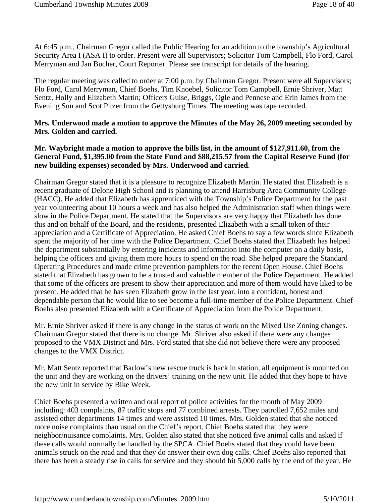At 6:45 p.m., Chairman Gregor called the Public Hearing for an addition to the township's Agricultural Security Area I (ASA I) to order. Present were all Supervisors; Solicitor Tom Campbell, Flo Ford, Carol Merryman and Jan Bucher, Court Reporter. Please see transcript for details of the hearing.

The regular meeting was called to order at 7:00 p.m. by Chairman Gregor. Present were all Supervisors; Flo Ford, Carol Merryman, Chief Boehs, Tim Knoebel, Solicitor Tom Campbell, Ernie Shriver, Matt Sentz, Holly and Elizabeth Martin; Officers Guise, Briggs, Ogle and Pennese and Erin James from the Evening Sun and Scot Pitzer from the Gettysburg Times. The meeting was tape recorded.

#### **Mrs. Underwood made a motion to approve the Minutes of the May 26, 2009 meeting seconded by Mrs. Golden and carried.**

#### **Mr. Waybright made a motion to approve the bills list, in the amount of \$127,911.60, from the General Fund, \$1,395.00 from the State Fund and \$88,215.57 from the Capital Reserve Fund (for new building expenses) seconded by Mrs. Underwood and carried**.

Chairman Gregor stated that it is a pleasure to recognize Elizabeth Martin. He stated that Elizabeth is a recent graduate of Delone High School and is planning to attend Harrisburg Area Community College (HACC). He added that Elizabeth has apprenticed with the Township's Police Department for the past year volunteering about 10 hours a week and has also helped the Administration staff when things were slow in the Police Department. He stated that the Supervisors are very happy that Elizabeth has done this and on behalf of the Board, and the residents, presented Elizabeth with a small token of their appreciation and a Certificate of Appreciation. He asked Chief Boehs to say a few words since Elizabeth spent the majority of her time with the Police Department. Chief Boehs stated that Elizabeth has helped the department substantially by entering incidents and information into the computer on a daily basis, helping the officers and giving them more hours to spend on the road. She helped prepare the Standard Operating Procedures and made crime prevention pamphlets for the recent Open House. Chief Boehs stated that Elizabeth has grown to be a trusted and valuable member of the Police Department. He added that some of the officers are present to show their appreciation and more of them would have liked to be present. He added that he has seen Elizabeth grow in the last year, into a confident, honest and dependable person that he would like to see become a full-time member of the Police Department. Chief Boehs also presented Elizabeth with a Certificate of Appreciation from the Police Department.

Mr. Ernie Shriver asked if there is any change in the status of work on the Mixed Use Zoning changes. Chairman Gregor stated that there is no change. Mr. Shriver also asked if there were any changes proposed to the VMX District and Mrs. Ford stated that she did not believe there were any proposed changes to the VMX District.

Mr. Matt Sentz reported that Barlow's new rescue truck is back in station, all equipment is mounted on the unit and they are working on the drivers' training on the new unit. He added that they hope to have the new unit in service by Bike Week.

Chief Boehs presented a written and oral report of police activities for the month of May 2009 including: 403 complaints, 87 traffic stops and 77 combined arrests. They patrolled 7,652 miles and assisted other departments 14 times and were assisted 10 times. Mrs. Golden stated that she noticed more noise complaints than usual on the Chief's report. Chief Boehs stated that they were neighbor/nuisance complaints. Mrs. Golden also stated that she noticed five animal calls and asked if these calls would normally be handled by the SPCA. Chief Boehs stated that they could have been animals struck on the road and that they do answer their own dog calls. Chief Boehs also reported that there has been a steady rise in calls for service and they should hit 5,000 calls by the end of the year. He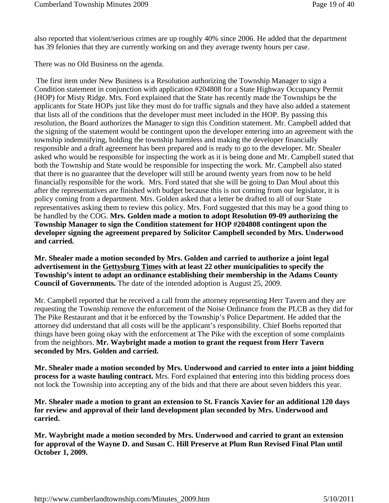also reported that violent/serious crimes are up roughly 40% since 2006. He added that the department has 39 felonies that they are currently working on and they average twenty hours per case.

There was no Old Business on the agenda.

 The first item under New Business is a Resolution authorizing the Township Manager to sign a Condition statement in conjunction with application #204808 for a State Highway Occupancy Permit (HOP) for Misty Ridge. Mrs. Ford explained that the State has recently made the Townships be the applicants for State HOPs just like they must do for traffic signals and they have also added a statement that lists all of the conditions that the developer must meet included in the HOP. By passing this resolution, the Board authorizes the Manager to sign this Condition statement. Mr. Campbell added that the signing of the statement would be contingent upon the developer entering into an agreement with the township indemnifying, holding the township harmless and making the developer financially responsible and a draft agreement has been prepared and is ready to go to the developer. Mr. Shealer asked who would be responsible for inspecting the work as it is being done and Mr. Campbell stated that both the Township and State would be responsible for inspecting the work. Mr. Campbell also stated that there is no guarantee that the developer will still be around twenty years from now to be held financially responsible for the work. Mrs. Ford stated that she will be going to Dan Moul about this after the representatives are finished with budget because this is not coming from our legislator, it is policy coming from a department. Mrs. Golden asked that a letter be drafted to all of our State representatives asking them to review this policy. Mrs. Ford suggested that this may be a good thing to be handled by the COG. **Mrs. Golden made a motion to adopt Resolution 09-09 authorizing the Township Manager to sign the Condition statement for HOP #204808 contingent upon the developer signing the agreement prepared by Solicitor Campbell seconded by Mrs. Underwood and carried.** 

**Mr. Shealer made a motion seconded by Mrs. Golden and carried to authorize a joint legal advertisement in the Gettysburg Times with at least 22 other municipalities to specify the Township's intent to adopt an ordinance establishing their membership in the Adams County Council of Governments.** The date of the intended adoption is August 25, 2009.

Mr. Campbell reported that he received a call from the attorney representing Herr Tavern and they are requesting the Township remove the enforcement of the Noise Ordinance from the PLCB as they did for The Pike Restaurant and that it be enforced by the Township's Police Department. He added that the attorney did understand that all costs will be the applicant's responsibility. Chief Boehs reported that things have been going okay with the enforcement at The Pike with the exception of some complaints from the neighbors. **Mr. Waybright made a motion to grant the request from Herr Tavern seconded by Mrs. Golden and carried.**

**Mr. Shealer made a motion seconded by Mrs. Underwood and carried to enter into a joint bidding process for a waste hauling contract.** Mrs. Ford explained that entering into this bidding process does not lock the Township into accepting any of the bids and that there are about seven bidders this year.

**Mr. Shealer made a motion to grant an extension to St. Francis Xavier for an additional 120 days for review and approval of their land development plan seconded by Mrs. Underwood and carried.**

**Mr. Waybright made a motion seconded by Mrs. Underwood and carried to grant an extension for approval of the Wayne D. and Susan C. Hill Preserve at Plum Run Revised Final Plan until October 1, 2009.**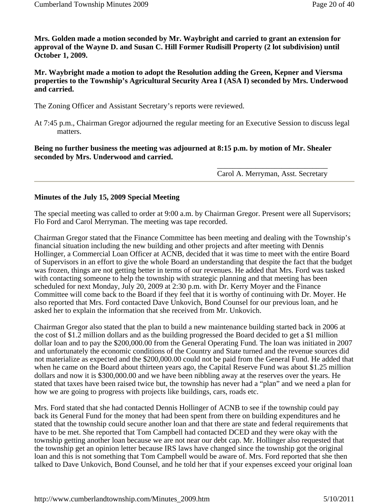**Mrs. Golden made a motion seconded by Mr. Waybright and carried to grant an extension for approval of the Wayne D. and Susan C. Hill Former Rudisill Property (2 lot subdivision) until October 1, 2009.**

**Mr. Waybright made a motion to adopt the Resolution adding the Green, Kepner and Viersma properties to the Township's Agricultural Security Area I (ASA I) seconded by Mrs. Underwood and carried.**

The Zoning Officer and Assistant Secretary's reports were reviewed.

At 7:45 p.m., Chairman Gregor adjourned the regular meeting for an Executive Session to discuss legal matters.

**Being no further business the meeting was adjourned at 8:15 p.m. by motion of Mr. Shealer seconded by Mrs. Underwood and carried.**

> \_\_\_\_\_\_\_\_\_\_\_\_\_\_\_\_\_\_\_\_\_\_\_\_\_\_\_\_\_ Carol A. Merryman, Asst. Secretary

#### **Minutes of the July 15, 2009 Special Meeting**

The special meeting was called to order at 9:00 a.m. by Chairman Gregor. Present were all Supervisors; Flo Ford and Carol Merryman. The meeting was tape recorded.

Chairman Gregor stated that the Finance Committee has been meeting and dealing with the Township's financial situation including the new building and other projects and after meeting with Dennis Hollinger, a Commercial Loan Officer at ACNB, decided that it was time to meet with the entire Board of Supervisors in an effort to give the whole Board an understanding that despite the fact that the budget was frozen, things are not getting better in terms of our revenues. He added that Mrs. Ford was tasked with contacting someone to help the township with strategic planning and that meeting has been scheduled for next Monday, July 20, 2009 at 2:30 p.m. with Dr. Kerry Moyer and the Finance Committee will come back to the Board if they feel that it is worthy of continuing with Dr. Moyer. He also reported that Mrs. Ford contacted Dave Unkovich, Bond Counsel for our previous loan, and he asked her to explain the information that she received from Mr. Unkovich.

Chairman Gregor also stated that the plan to build a new maintenance building started back in 2006 at the cost of \$1.2 million dollars and as the building progressed the Board decided to get a \$1 million dollar loan and to pay the \$200,000.00 from the General Operating Fund. The loan was initiated in 2007 and unfortunately the economic conditions of the Country and State turned and the revenue sources did not materialize as expected and the \$200,000.00 could not be paid from the General Fund. He added that when he came on the Board about thirteen years ago, the Capital Reserve Fund was about \$1.25 million dollars and now it is \$300,000.00 and we have been nibbling away at the reserves over the years. He stated that taxes have been raised twice but, the township has never had a "plan" and we need a plan for how we are going to progress with projects like buildings, cars, roads etc.

Mrs. Ford stated that she had contacted Dennis Hollinger of ACNB to see if the township could pay back its General Fund for the money that had been spent from there on building expenditures and he stated that the township could secure another loan and that there are state and federal requirements that have to be met. She reported that Tom Campbell had contacted DCED and they were okay with the township getting another loan because we are not near our debt cap. Mr. Hollinger also requested that the township get an opinion letter because IRS laws have changed since the township got the original loan and this is not something that Tom Campbell would be aware of. Mrs. Ford reported that she then talked to Dave Unkovich, Bond Counsel, and he told her that if your expenses exceed your original loan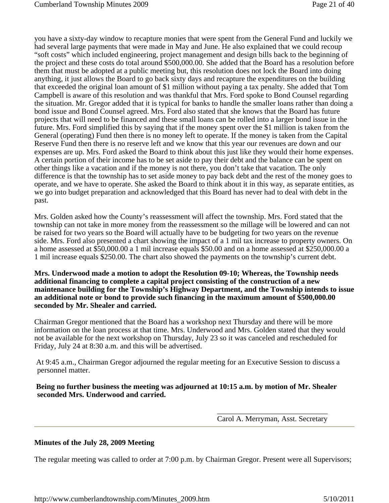you have a sixty-day window to recapture monies that were spent from the General Fund and luckily we had several large payments that were made in May and June. He also explained that we could recoup "soft costs" which included engineering, project management and design bills back to the beginning of the project and these costs do total around \$500,000.00. She added that the Board has a resolution before them that must be adopted at a public meeting but, this resolution does not lock the Board into doing anything, it just allows the Board to go back sixty days and recapture the expenditures on the building that exceeded the original loan amount of \$1 million without paying a tax penalty. She added that Tom Campbell is aware of this resolution and was thankful that Mrs. Ford spoke to Bond Counsel regarding the situation. Mr. Gregor added that it is typical for banks to handle the smaller loans rather than doing a bond issue and Bond Counsel agreed. Mrs. Ford also stated that she knows that the Board has future projects that will need to be financed and these small loans can be rolled into a larger bond issue in the future. Mrs. Ford simplified this by saying that if the money spent over the \$1 million is taken from the General (operating) Fund then there is no money left to operate. If the money is taken from the Capital Reserve Fund then there is no reserve left and we know that this year our revenues are down and our expenses are up. Mrs. Ford asked the Board to think about this just like they would their home expenses. A certain portion of their income has to be set aside to pay their debt and the balance can be spent on other things like a vacation and if the money is not there, you don't take that vacation. The only difference is that the township has to set aside money to pay back debt and the rest of the money goes to operate, and we have to operate. She asked the Board to think about it in this way, as separate entities, as we go into budget preparation and acknowledged that this Board has never had to deal with debt in the past.

Mrs. Golden asked how the County's reassessment will affect the township. Mrs. Ford stated that the township can not take in more money from the reassessment so the millage will be lowered and can not be raised for two years so the Board will actually have to be budgeting for two years on the revenue side. Mrs. Ford also presented a chart showing the impact of a 1 mil tax increase to property owners. On a home assessed at \$50,000.00 a 1 mil increase equals \$50.00 and on a home assessed at \$250,000.00 a 1 mil increase equals \$250.00. The chart also showed the payments on the township's current debt.

**Mrs. Underwood made a motion to adopt the Resolution 09-10; Whereas, the Township needs additional financing to complete a capital project consisting of the construction of a new maintenance building for the Township's Highway Department, and the Township intends to issue an additional note or bond to provide such financing in the maximum amount of \$500,000.00 seconded by Mr. Shealer and carried.**

Chairman Gregor mentioned that the Board has a workshop next Thursday and there will be more information on the loan process at that time. Mrs. Underwood and Mrs. Golden stated that they would not be available for the next workshop on Thursday, July 23 so it was canceled and rescheduled for Friday, July 24 at 8:30 a.m. and this will be advertised.

 At 9:45 a.m., Chairman Gregor adjourned the regular meeting for an Executive Session to discuss a personnel matter.

 **Being no further business the meeting was adjourned at 10:15 a.m. by motion of Mr. Shealer seconded Mrs. Underwood and carried.**

> \_\_\_\_\_\_\_\_\_\_\_\_\_\_\_\_\_\_\_\_\_\_\_\_\_\_\_\_\_ Carol A. Merryman, Asst. Secretary

#### **Minutes of the July 28, 2009 Meeting**

The regular meeting was called to order at 7:00 p.m. by Chairman Gregor. Present were all Supervisors;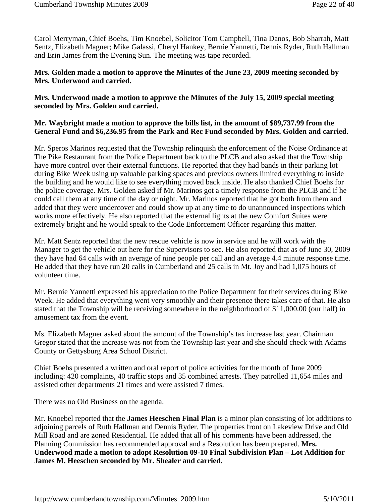Carol Merryman, Chief Boehs, Tim Knoebel, Solicitor Tom Campbell, Tina Danos, Bob Sharrah, Matt Sentz, Elizabeth Magner; Mike Galassi, Cheryl Hankey, Bernie Yannetti, Dennis Ryder, Ruth Hallman and Erin James from the Evening Sun. The meeting was tape recorded.

### **Mrs. Golden made a motion to approve the Minutes of the June 23, 2009 meeting seconded by Mrs. Underwood and carried.**

**Mrs. Underwood made a motion to approve the Minutes of the July 15, 2009 special meeting seconded by Mrs. Golden and carried.**

### **Mr. Waybright made a motion to approve the bills list, in the amount of \$89,737.99 from the General Fund and \$6,236.95 from the Park and Rec Fund seconded by Mrs. Golden and carried**.

Mr. Speros Marinos requested that the Township relinquish the enforcement of the Noise Ordinance at The Pike Restaurant from the Police Department back to the PLCB and also asked that the Township have more control over their external functions. He reported that they had bands in their parking lot during Bike Week using up valuable parking spaces and previous owners limited everything to inside the building and he would like to see everything moved back inside. He also thanked Chief Boehs for the police coverage. Mrs. Golden asked if Mr. Marinos got a timely response from the PLCB and if he could call them at any time of the day or night. Mr. Marinos reported that he got both from them and added that they were undercover and could show up at any time to do unannounced inspections which works more effectively. He also reported that the external lights at the new Comfort Suites were extremely bright and he would speak to the Code Enforcement Officer regarding this matter.

Mr. Matt Sentz reported that the new rescue vehicle is now in service and he will work with the Manager to get the vehicle out here for the Supervisors to see. He also reported that as of June 30, 2009 they have had 64 calls with an average of nine people per call and an average 4.4 minute response time. He added that they have run 20 calls in Cumberland and 25 calls in Mt. Joy and had 1,075 hours of volunteer time.

Mr. Bernie Yannetti expressed his appreciation to the Police Department for their services during Bike Week. He added that everything went very smoothly and their presence there takes care of that. He also stated that the Township will be receiving somewhere in the neighborhood of \$11,000.00 (our half) in amusement tax from the event.

Ms. Elizabeth Magner asked about the amount of the Township's tax increase last year. Chairman Gregor stated that the increase was not from the Township last year and she should check with Adams County or Gettysburg Area School District.

Chief Boehs presented a written and oral report of police activities for the month of June 2009 including: 420 complaints, 40 traffic stops and 35 combined arrests. They patrolled 11,654 miles and assisted other departments 21 times and were assisted 7 times.

There was no Old Business on the agenda.

Mr. Knoebel reported that the **James Heeschen Final Plan** is a minor plan consisting of lot additions to adjoining parcels of Ruth Hallman and Dennis Ryder. The properties front on Lakeview Drive and Old Mill Road and are zoned Residential. He added that all of his comments have been addressed, the Planning Commission has recommended approval and a Resolution has been prepared. **Mrs. Underwood made a motion to adopt Resolution 09-10 Final Subdivision Plan – Lot Addition for James M. Heeschen seconded by Mr. Shealer and carried.**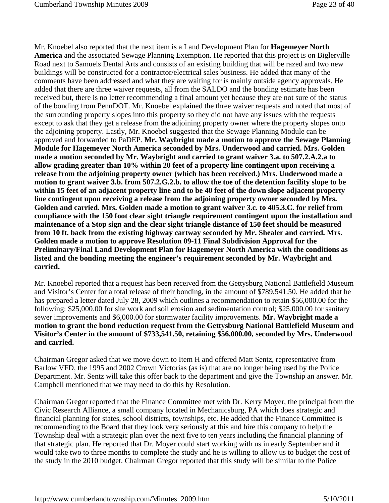Mr. Knoebel also reported that the next item is a Land Development Plan for **Hagemeyer North America** and the associated Sewage Planning Exemption. He reported that this project is on Biglerville Road next to Samuels Dental Arts and consists of an existing building that will be razed and two new buildings will be constructed for a contractor/electrical sales business. He added that many of the comments have been addressed and what they are waiting for is mainly outside agency approvals. He added that there are three waiver requests, all from the SALDO and the bonding estimate has been received but, there is no letter recommending a final amount yet because they are not sure of the status of the bonding from PennDOT. Mr. Knoebel explained the three waiver requests and noted that most of the surrounding property slopes into this property so they did not have any issues with the requests except to ask that they get a release from the adjoining property owner where the property slopes onto the adjoining property. Lastly, Mr. Knoebel suggested that the Sewage Planning Module can be approved and forwarded to PaDEP. **Mr. Waybright made a motion to approve the Sewage Planning Module for Hagemeyer North America seconded by Mrs. Underwood and carried. Mrs. Golden made a motion seconded by Mr. Waybright and carried to grant waiver 3.a. to 507.2.A.2.a to allow grading greater than 10% within 20 feet of a property line contingent upon receiving a release from the adjoining property owner (which has been received.) Mrs. Underwood made a motion to grant waiver 3.b. from 507.2.G.2.b. to allow the toe of the detention facility slope to be within 15 feet of an adjacent property line and to be 40 feet of the down slope adjacent property line contingent upon receiving a release from the adjoining property owner seconded by Mrs. Golden and carried. Mrs. Golden made a motion to grant waiver 3.c. to 405.3.C. for relief from compliance with the 150 foot clear sight triangle requirement contingent upon the installation and maintenance of a Stop sign and the clear sight triangle distance of 150 feet should be measured from 10 ft. back from the existing highway cartway seconded by Mr. Shealer and carried. Mrs. Golden made a motion to approve Resolution 09-11 Final Subdivision Approval for the Preliminary/Final Land Development Plan for Hagemeyer North America with the conditions as listed and the bonding meeting the engineer's requirement seconded by Mr. Waybright and carried.**

Mr. Knoebel reported that a request has been received from the Gettysburg National Battlefield Museum and Visitor's Center for a total release of their bonding, in the amount of \$789,541.50. He added that he has prepared a letter dated July 28, 2009 which outlines a recommendation to retain \$56,000.00 for the following: \$25,000.00 for site work and soil erosion and sedimentation control; \$25,000.00 for sanitary sewer improvements and \$6,000.00 for stormwater facility improvements. **Mr. Waybright made a motion to grant the bond reduction request from the Gettysburg National Battlefield Museum and Visitor's Center in the amount of \$733,541.50, retaining \$56,000.00, seconded by Mrs. Underwood and carried.** 

Chairman Gregor asked that we move down to Item H and offered Matt Sentz, representative from Barlow VFD, the 1995 and 2002 Crown Victorias (as is) that are no longer being used by the Police Department. Mr. Sentz will take this offer back to the department and give the Township an answer. Mr. Campbell mentioned that we may need to do this by Resolution.

Chairman Gregor reported that the Finance Committee met with Dr. Kerry Moyer, the principal from the Civic Research Alliance, a small company located in Mechanicsburg, PA which does strategic and financial planning for states, school districts, townships, etc. He added that the Finance Committee is recommending to the Board that they look very seriously at this and hire this company to help the Township deal with a strategic plan over the next five to ten years including the financial planning of that strategic plan. He reported that Dr. Moyer could start working with us in early September and it would take two to three months to complete the study and he is willing to allow us to budget the cost of the study in the 2010 budget. Chairman Gregor reported that this study will be similar to the Police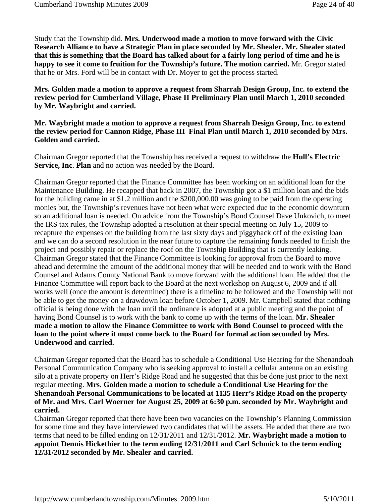Study that the Township did. **Mrs. Underwood made a motion to move forward with the Civic Research Alliance to have a Strategic Plan in place seconded by Mr. Shealer. Mr. Shealer stated that this is something that the Board has talked about for a fairly long period of time and he is happy to see it come to fruition for the Township's future. The motion carried.** Mr. Gregor stated that he or Mrs. Ford will be in contact with Dr. Moyer to get the process started.

**Mrs. Golden made a motion to approve a request from Sharrah Design Group, Inc. to extend the review period for Cumberland Village, Phase II Preliminary Plan until March 1, 2010 seconded by Mr. Waybright and carried.** 

#### **Mr. Waybright made a motion to approve a request from Sharrah Design Group, Inc. to extend the review period for Cannon Ridge, Phase III Final Plan until March 1, 2010 seconded by Mrs. Golden and carried.**

Chairman Gregor reported that the Township has received a request to withdraw the **Hull's Electric Service, Inc**. **Plan** and no action was needed by the Board.

Chairman Gregor reported that the Finance Committee has been working on an additional loan for the Maintenance Building. He recapped that back in 2007, the Township got a \$1 million loan and the bids for the building came in at \$1.2 million and the \$200,000.00 was going to be paid from the operating monies but, the Township's revenues have not been what were expected due to the economic downturn so an additional loan is needed. On advice from the Township's Bond Counsel Dave Unkovich, to meet the IRS tax rules, the Township adopted a resolution at their special meeting on July 15, 2009 to recapture the expenses on the building from the last sixty days and piggyback off of the existing loan and we can do a second resolution in the near future to capture the remaining funds needed to finish the project and possibly repair or replace the roof on the Township Building that is currently leaking. Chairman Gregor stated that the Finance Committee is looking for approval from the Board to move ahead and determine the amount of the additional money that will be needed and to work with the Bond Counsel and Adams County National Bank to move forward with the additional loan. He added that the Finance Committee will report back to the Board at the next workshop on August 6, 2009 and if all works well (once the amount is determined) there is a timeline to be followed and the Township will not be able to get the money on a drawdown loan before October 1, 2009. Mr. Campbell stated that nothing official is being done with the loan until the ordinance is adopted at a public meeting and the point of having Bond Counsel is to work with the bank to come up with the terms of the loan. **Mr. Shealer made a motion to allow the Finance Committee to work with Bond Counsel to proceed with the loan to the point where it must come back to the Board for formal action seconded by Mrs. Underwood and carried.**

Chairman Gregor reported that the Board has to schedule a Conditional Use Hearing for the Shenandoah Personal Communication Company who is seeking approval to install a cellular antenna on an existing silo at a private property on Herr's Ridge Road and he suggested that this be done just prior to the next regular meeting. **Mrs. Golden made a motion to schedule a Conditional Use Hearing for the Shenandoah Personal Communications to be located at 1135 Herr's Ridge Road on the property of Mr. and Mrs. Carl Woerner for August 25, 2009 at 6:30 p.m. seconded by Mr. Waybright and carried.**

Chairman Gregor reported that there have been two vacancies on the Township's Planning Commission for some time and they have interviewed two candidates that will be assets. He added that there are two terms that need to be filled ending on 12/31/2011 and 12/31/2012. **Mr. Waybright made a motion to appoint Dennis Hickethier to the term ending 12/31/2011 and Carl Schmick to the term ending 12/31/2012 seconded by Mr. Shealer and carried.**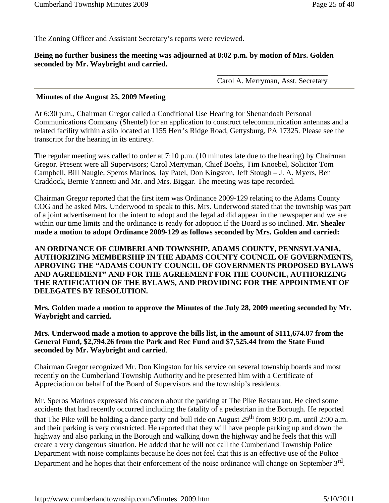The Zoning Officer and Assistant Secretary's reports were reviewed.

#### **Being no further business the meeting was adjourned at 8:02 p.m. by motion of Mrs. Golden seconded by Mr. Waybright and carried.**

\_\_\_\_\_\_\_\_\_\_\_\_\_\_\_\_\_\_\_\_\_\_\_\_\_\_\_\_\_ Carol A. Merryman, Asst. Secretary

#### **Minutes of the August 25, 2009 Meeting**

At 6:30 p.m., Chairman Gregor called a Conditional Use Hearing for Shenandoah Personal Communications Company (Shentel) for an application to construct telecommunication antennas and a related facility within a silo located at 1155 Herr's Ridge Road, Gettysburg, PA 17325. Please see the transcript for the hearing in its entirety.

The regular meeting was called to order at 7:10 p.m. (10 minutes late due to the hearing) by Chairman Gregor. Present were all Supervisors; Carol Merryman, Chief Boehs, Tim Knoebel, Solicitor Tom Campbell, Bill Naugle, Speros Marinos, Jay Patel, Don Kingston, Jeff Stough – J. A. Myers, Ben Craddock, Bernie Yannetti and Mr. and Mrs. Biggar. The meeting was tape recorded.

Chairman Gregor reported that the first item was Ordinance 2009-129 relating to the Adams County COG and he asked Mrs. Underwood to speak to this. Mrs. Underwood stated that the township was part of a joint advertisement for the intent to adopt and the legal ad did appear in the newspaper and we are within our time limits and the ordinance is ready for adoption if the Board is so inclined. **Mr. Shealer made a motion to adopt Ordinance 2009-129 as follows seconded by Mrs. Golden and carried:**

## **AN ORDINANCE OF CUMBERLAND TOWNSHIP, ADAMS COUNTY, PENNSYLVANIA, AUTHORIZING MEMBERSHIP IN THE ADAMS COUNTY COUNCIL OF GOVERNMENTS, APROVING THE "ADAMS COUNTY COUNCIL OF GOVERNMENTS PROPOSED BYLAWS AND AGREEMENT" AND FOR THE AGREEMENT FOR THE COUNCIL, AUTHORIZING THE RATIFICATION OF THE BYLAWS, AND PROVIDING FOR THE APPOINTMENT OF DELEGATES BY RESOLUTION.**

**Mrs. Golden made a motion to approve the Minutes of the July 28, 2009 meeting seconded by Mr. Waybright and carried.**

**Mrs. Underwood made a motion to approve the bills list, in the amount of \$111,674.07 from the General Fund, \$2,794.26 from the Park and Rec Fund and \$7,525.44 from the State Fund seconded by Mr. Waybright and carried**.

Chairman Gregor recognized Mr. Don Kingston for his service on several township boards and most recently on the Cumberland Township Authority and he presented him with a Certificate of Appreciation on behalf of the Board of Supervisors and the township's residents.

Mr. Speros Marinos expressed his concern about the parking at The Pike Restaurant. He cited some accidents that had recently occurred including the fatality of a pedestrian in the Borough. He reported that The Pike will be holding a dance party and bull ride on August 29<sup>th</sup> from 9:00 p.m. until 2:00 a.m. and their parking is very constricted. He reported that they will have people parking up and down the highway and also parking in the Borough and walking down the highway and he feels that this will create a very dangerous situation. He added that he will not call the Cumberland Township Police Department with noise complaints because he does not feel that this is an effective use of the Police Department and he hopes that their enforcement of the noise ordinance will change on September  $3<sup>rd</sup>$ .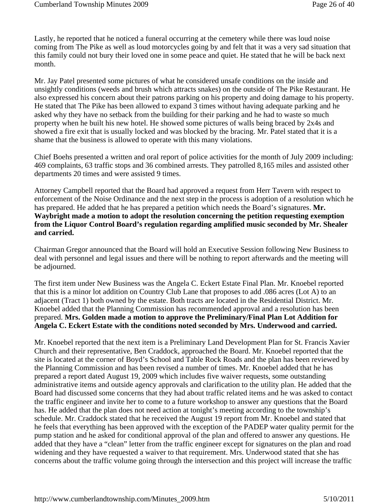Lastly, he reported that he noticed a funeral occurring at the cemetery while there was loud noise coming from The Pike as well as loud motorcycles going by and felt that it was a very sad situation that this family could not bury their loved one in some peace and quiet. He stated that he will be back next month.

Mr. Jay Patel presented some pictures of what he considered unsafe conditions on the inside and unsightly conditions (weeds and brush which attracts snakes) on the outside of The Pike Restaurant. He also expressed his concern about their patrons parking on his property and doing damage to his property. He stated that The Pike has been allowed to expand 3 times without having adequate parking and he asked why they have no setback from the building for their parking and he had to waste so much property when he built his new hotel. He showed some pictures of walls being braced by 2x4s and showed a fire exit that is usually locked and was blocked by the bracing. Mr. Patel stated that it is a shame that the business is allowed to operate with this many violations.

Chief Boehs presented a written and oral report of police activities for the month of July 2009 including: 469 complaints, 63 traffic stops and 36 combined arrests. They patrolled 8,165 miles and assisted other departments 20 times and were assisted 9 times.

Attorney Campbell reported that the Board had approved a request from Herr Tavern with respect to enforcement of the Noise Ordinance and the next step in the process is adoption of a resolution which he has prepared. He added that he has prepared a petition which needs the Board's signatures. **Mr. Waybright made a motion to adopt the resolution concerning the petition requesting exemption from the Liquor Control Board's regulation regarding amplified music seconded by Mr. Shealer and carried.** 

Chairman Gregor announced that the Board will hold an Executive Session following New Business to deal with personnel and legal issues and there will be nothing to report afterwards and the meeting will be adjourned.

The first item under New Business was the Angela C. Eckert Estate Final Plan. Mr. Knoebel reported that this is a minor lot addition on Country Club Lane that proposes to add .086 acres (Lot A) to an adjacent (Tract 1) both owned by the estate. Both tracts are located in the Residential District. Mr. Knoebel added that the Planning Commission has recommended approval and a resolution has been prepared. **Mrs. Golden made a motion to approve the Preliminary/Final Plan Lot Addition for Angela C. Eckert Estate with the conditions noted seconded by Mrs. Underwood and carried.**

Mr. Knoebel reported that the next item is a Preliminary Land Development Plan for St. Francis Xavier Church and their representative, Ben Craddock, approached the Board. Mr. Knoebel reported that the site is located at the corner of Boyd's School and Table Rock Roads and the plan has been reviewed by the Planning Commission and has been revised a number of times. Mr. Knoebel added that he has prepared a report dated August 19, 2009 which includes five waiver requests, some outstanding administrative items and outside agency approvals and clarification to the utility plan. He added that the Board had discussed some concerns that they had about traffic related items and he was asked to contact the traffic engineer and invite her to come to a future workshop to answer any questions that the Board has. He added that the plan does not need action at tonight's meeting according to the township's schedule. Mr. Craddock stated that he received the August 19 report from Mr. Knoebel and stated that he feels that everything has been approved with the exception of the PADEP water quality permit for the pump station and he asked for conditional approval of the plan and offered to answer any questions. He added that they have a "clean" letter from the traffic engineer except for signatures on the plan and road widening and they have requested a waiver to that requirement. Mrs. Underwood stated that she has concerns about the traffic volume going through the intersection and this project will increase the traffic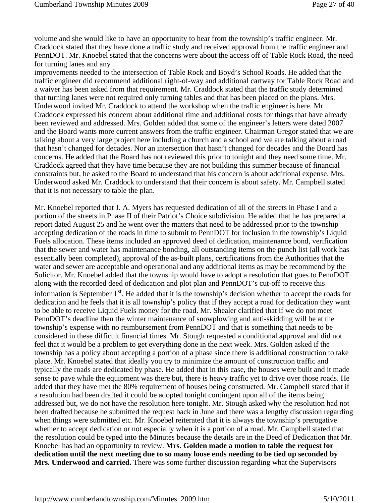volume and she would like to have an opportunity to hear from the township's traffic engineer. Mr. Craddock stated that they have done a traffic study and received approval from the traffic engineer and PennDOT. Mr. Knoebel stated that the concerns were about the access off of Table Rock Road, the need for turning lanes and any

improvements needed to the intersection of Table Rock and Boyd's School Roads. He added that the traffic engineer did recommend additional right-of-way and additional cartway for Table Rock Road and a waiver has been asked from that requirement. Mr. Craddock stated that the traffic study determined that turning lanes were not required only turning tables and that has been placed on the plans. Mrs. Underwood invited Mr. Craddock to attend the workshop when the traffic engineer is here. Mr. Craddock expressed his concern about additional time and additional costs for things that have already been reviewed and addressed. Mrs. Golden added that some of the engineer's letters were dated 2007 and the Board wants more current answers from the traffic engineer. Chairman Gregor stated that we are talking about a very large project here including a church and a school and we are talking about a road that hasn't changed for decades. Nor an intersection that hasn't changed for decades and the Board has concerns. He added that the Board has not reviewed this prior to tonight and they need some time. Mr. Craddock agreed that they have time because they are not building this summer because of financial constraints but, he asked to the Board to understand that his concern is about additional expense. Mrs. Underwood asked Mr. Craddock to understand that their concern is about safety. Mr. Campbell stated that it is not necessary to table the plan.

Mr. Knoebel reported that J. A. Myers has requested dedication of all of the streets in Phase I and a portion of the streets in Phase II of their Patriot's Choice subdivision. He added that he has prepared a report dated August 25 and he went over the matters that need to be addressed prior to the township accepting dedication of the roads in time to submit to PennDOT for inclusion in the township's Liquid Fuels allocation. These items included an approved deed of dedication, maintenance bond, verification that the sewer and water has maintenance bonding, all outstanding items on the punch list (all work has essentially been completed), approval of the as-built plans, certifications from the Authorities that the water and sewer are acceptable and operational and any additional items as may be recommend by the Solicitor. Mr. Knoebel added that the township would have to adopt a resolution that goes to PennDOT along with the recorded deed of dedication and plot plan and PennDOT's cut-off to receive this information is September  $1<sup>st</sup>$ . He added that it is the township's decision whether to accept the roads for dedication and he feels that it is all township's policy that if they accept a road for dedication they want to be able to receive Liquid Fuels money for the road. Mr. Shealer clarified that if we do not meet PennDOT's deadline then the winter maintenance of snowplowing and anti-skidding will be at the township's expense with no reimbursement from PennDOT and that is something that needs to be considered in these difficult financial times. Mr. Stough requested a conditional approval and did not feel that it would be a problem to get everything done in the next week. Mrs. Golden asked if the township has a policy about accepting a portion of a phase since there is additional construction to take place. Mr. Knoebel stated that ideally you try to minimize the amount of construction traffic and typically the roads are dedicated by phase. He added that in this case, the houses were built and it made sense to pave while the equipment was there but, there is heavy traffic yet to drive over those roads. He added that they have met the 80% requirement of houses being constructed. Mr. Campbell stated that if a resolution had been drafted it could be adopted tonight contingent upon all of the items being addressed but, we do not have the resolution here tonight. Mr. Stough asked why the resolution had not been drafted because he submitted the request back in June and there was a lengthy discussion regarding when things were submitted etc. Mr. Knoebel reiterated that it is always the township's prerogative whether to accept dedication or not especially when it is a portion of a road. Mr. Campbell stated that the resolution could be typed into the Minutes because the details are in the Deed of Dedication that Mr. Knoebel has had an opportunity to review. **Mrs. Golden made a motion to table the request for dedication until the next meeting due to so many loose ends needing to be tied up seconded by Mrs. Underwood and carried.** There was some further discussion regarding what the Supervisors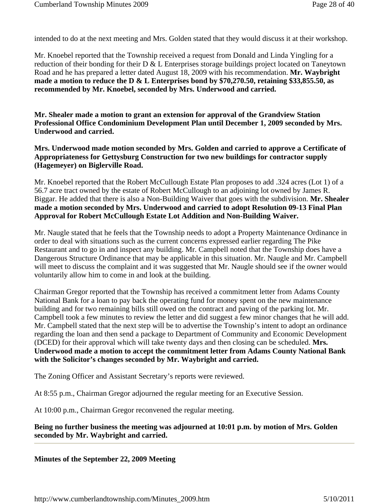intended to do at the next meeting and Mrs. Golden stated that they would discuss it at their workshop.

Mr. Knoebel reported that the Township received a request from Donald and Linda Yingling for a reduction of their bonding for their D & L Enterprises storage buildings project located on Taneytown Road and he has prepared a letter dated August 18, 2009 with his recommendation. **Mr. Waybright made a motion to reduce the D & L Enterprises bond by \$70,270.50, retaining \$33,855.50, as recommended by Mr. Knoebel, seconded by Mrs. Underwood and carried.** 

**Mr. Shealer made a motion to grant an extension for approval of the Grandview Station Professional Office Condominium Development Plan until December 1, 2009 seconded by Mrs. Underwood and carried.**

**Mrs. Underwood made motion seconded by Mrs. Golden and carried to approve a Certificate of Appropriateness for Gettysburg Construction for two new buildings for contractor supply (Hagemeyer) on Biglerville Road.**

Mr. Knoebel reported that the Robert McCullough Estate Plan proposes to add .324 acres (Lot 1) of a 56.7 acre tract owned by the estate of Robert McCullough to an adjoining lot owned by James R. Biggar. He added that there is also a Non-Building Waiver that goes with the subdivision. **Mr. Shealer made a motion seconded by Mrs. Underwood and carried to adopt Resolution 09-13 Final Plan Approval for Robert McCullough Estate Lot Addition and Non-Building Waiver.**

Mr. Naugle stated that he feels that the Township needs to adopt a Property Maintenance Ordinance in order to deal with situations such as the current concerns expressed earlier regarding The Pike Restaurant and to go in and inspect any building. Mr. Campbell noted that the Township does have a Dangerous Structure Ordinance that may be applicable in this situation. Mr. Naugle and Mr. Campbell will meet to discuss the complaint and it was suggested that Mr. Naugle should see if the owner would voluntarily allow him to come in and look at the building.

Chairman Gregor reported that the Township has received a commitment letter from Adams County National Bank for a loan to pay back the operating fund for money spent on the new maintenance building and for two remaining bills still owed on the contract and paving of the parking lot. Mr. Campbell took a few minutes to review the letter and did suggest a few minor changes that he will add. Mr. Campbell stated that the next step will be to advertise the Township's intent to adopt an ordinance regarding the loan and then send a package to Department of Community and Economic Development (DCED) for their approval which will take twenty days and then closing can be scheduled. **Mrs. Underwood made a motion to accept the commitment letter from Adams County National Bank with the Solicitor's changes seconded by Mr. Waybright and carried.**

The Zoning Officer and Assistant Secretary's reports were reviewed.

At 8:55 p.m., Chairman Gregor adjourned the regular meeting for an Executive Session.

At 10:00 p.m., Chairman Gregor reconvened the regular meeting.

#### **Being no further business the meeting was adjourned at 10:01 p.m. by motion of Mrs. Golden seconded by Mr. Waybright and carried.**

**Minutes of the September 22, 2009 Meeting**

http://www.cumberlandtownship.com/Minutes\_2009.htm 5/10/2011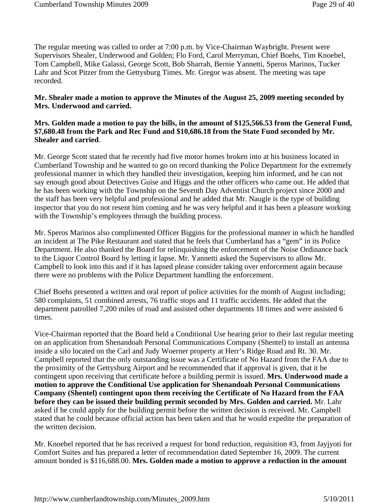The regular meeting was called to order at 7:00 p.m. by Vice-Chairman Waybright. Present were Supervisors Shealer, Underwood and Golden; Flo Ford, Carol Merryman, Chief Boehs, Tim Knoebel, Tom Campbell, Mike Galassi, George Scott, Bob Sharrah, Bernie Yannetti, Speros Marinos, Tucker Lahr and Scot Pitzer from the Gettysburg Times. Mr. Gregor was absent. The meeting was tape recorded.

### **Mr. Shealer made a motion to approve the Minutes of the August 25, 2009 meeting seconded by Mrs. Underwood and carried.**

### **Mrs. Golden made a motion to pay the bills, in the amount of \$125,566.53 from the General Fund, \$7,680.48 from the Park and Rec Fund and \$10,686.18 from the State Fund seconded by Mr. Shealer and carried**.

Mr. George Scott stated that he recently had five motor homes broken into at his business located in Cumberland Township and he wanted to go on record thanking the Police Department for the extremely professional manner in which they handled their investigation, keeping him informed, and he can not say enough good about Detectives Guise and Higgs and the other officers who came out. He added that he has been working with the Township on the Seventh Day Adventist Church project since 2000 and the staff has been very helpful and professional and he added that Mr. Naugle is the type of building inspector that you do not resent him coming and he was very helpful and it has been a pleasure working with the Township's employees through the building process.

Mr. Speros Marinos also complimented Officer Biggins for the professional manner in which he handled an incident at The Pike Restaurant and stated that he feels that Cumberland has a "gem" in its Police Department. He also thanked the Board for relinquishing the enforcement of the Noise Ordinance back to the Liquor Control Board by letting it lapse. Mr. Yannetti asked the Supervisors to allow Mr. Campbell to look into this and if it has lapsed please consider taking over enforcement again because there were no problems with the Police Department handling the enforcement.

Chief Boehs presented a written and oral report of police activities for the month of August including; 580 complaints, 51 combined arrests, 76 traffic stops and 11 traffic accidents. He added that the department patrolled 7,200 miles of road and assisted other departments 18 times and were assisted 6 times.

Vice-Chairman reported that the Board held a Conditional Use hearing prior to their last regular meeting on an application from Shenandoah Personal Communications Company (Shentel) to install an antenna inside a silo located on the Carl and Judy Woerner property at Herr's Ridge Road and Rt. 30. Mr. Campbell reported that the only outstanding issue was a Certificate of No Hazard from the FAA due to the proximity of the Gettysburg Airport and he recommended that if approval is given, that it be contingent upon receiving that certificate before a building permit is issued. **Mrs. Underwood made a motion to approve the Conditional Use application for Shenandoah Personal Communications Company (Shentel) contingent upon them receiving the Certificate of No Hazard from the FAA before they can be issued their building permit seconded by Mrs. Golden and carried.** Mr. Lahr asked if he could apply for the building permit before the written decision is received. Mr. Campbell stated that he could because official action has been taken and that he would expedite the preparation of the written decision.

Mr. Knoebel reported that he has received a request for bond reduction, requisition #3, from Jayjyoti for Comfort Suites and has prepared a letter of recommendation dated September 16, 2009. The current amount bonded is \$116,688.00. **Mrs. Golden made a motion to approve a reduction in the amount**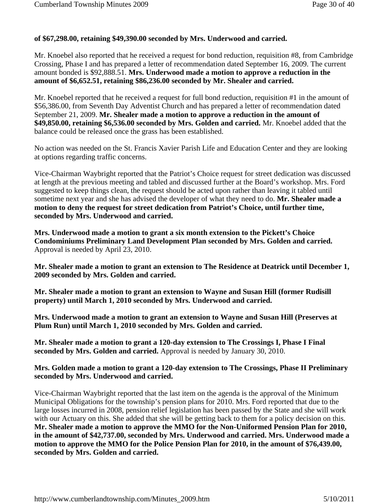# **of \$67,298.00, retaining \$49,390.00 seconded by Mrs. Underwood and carried.**

Mr. Knoebel also reported that he received a request for bond reduction, requisition #8, from Cambridge Crossing, Phase I and has prepared a letter of recommendation dated September 16, 2009. The current amount bonded is \$92,888.51. **Mrs. Underwood made a motion to approve a reduction in the amount of \$6,652.51, retaining \$86,236.00 seconded by Mr. Shealer and carried.**

Mr. Knoebel reported that he received a request for full bond reduction, requisition #1 in the amount of \$56,386.00, from Seventh Day Adventist Church and has prepared a letter of recommendation dated September 21, 2009. **Mr. Shealer made a motion to approve a reduction in the amount of \$49,850.00, retaining \$6,536.00 seconded by Mrs. Golden and carried.** Mr. Knoebel added that the balance could be released once the grass has been established.

No action was needed on the St. Francis Xavier Parish Life and Education Center and they are looking at options regarding traffic concerns.

Vice-Chairman Waybright reported that the Patriot's Choice request for street dedication was discussed at length at the previous meeting and tabled and discussed further at the Board's workshop. Mrs. Ford suggested to keep things clean, the request should be acted upon rather than leaving it tabled until sometime next year and she has advised the developer of what they need to do. **Mr. Shealer made a motion to deny the request for street dedication from Patriot's Choice, until further time, seconded by Mrs. Underwood and carried.**

**Mrs. Underwood made a motion to grant a six month extension to the Pickett's Choice Condominiums Preliminary Land Development Plan seconded by Mrs. Golden and carried.**  Approval is needed by April 23, 2010.

**Mr. Shealer made a motion to grant an extension to The Residence at Deatrick until December 1, 2009 seconded by Mrs. Golden and carried.**

**Mr. Shealer made a motion to grant an extension to Wayne and Susan Hill (former Rudisill property) until March 1, 2010 seconded by Mrs. Underwood and carried.**

**Mrs. Underwood made a motion to grant an extension to Wayne and Susan Hill (Preserves at Plum Run) until March 1, 2010 seconded by Mrs. Golden and carried.**

**Mr. Shealer made a motion to grant a 120-day extension to The Crossings I, Phase I Final seconded by Mrs. Golden and carried.** Approval is needed by January 30, 2010.

# **Mrs. Golden made a motion to grant a 120-day extension to The Crossings, Phase II Preliminary seconded by Mrs. Underwood and carried.**

Vice-Chairman Waybright reported that the last item on the agenda is the approval of the Minimum Municipal Obligations for the township's pension plans for 2010. Mrs. Ford reported that due to the large losses incurred in 2008, pension relief legislation has been passed by the State and she will work with our Actuary on this. She added that she will be getting back to them for a policy decision on this. **Mr. Shealer made a motion to approve the MMO for the Non-Uniformed Pension Plan for 2010, in the amount of \$42,737.00, seconded by Mrs. Underwood and carried. Mrs. Underwood made a motion to approve the MMO for the Police Pension Plan for 2010, in the amount of \$76,439.00, seconded by Mrs. Golden and carried.**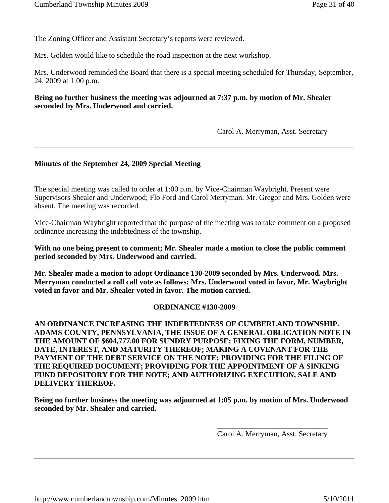The Zoning Officer and Assistant Secretary's reports were reviewed.

Mrs. Golden would like to schedule the road inspection at the next workshop.

Mrs. Underwood reminded the Board that there is a special meeting scheduled for Thursday, September, 24, 2009 at 1:00 p.m.

# **Being no further business the meeting was adjourned at 7:37 p.m. by motion of Mr. Shealer seconded by Mrs. Underwood and carried.**

Carol A. Merryman, Asst. Secretary

#### **Minutes of the September 24, 2009 Special Meeting**

The special meeting was called to order at 1:00 p.m. by Vice-Chairman Waybright. Present were Supervisors Shealer and Underwood; Flo Ford and Carol Merryman. Mr. Gregor and Mrs. Golden were absent. The meeting was recorded.

Vice-Chairman Waybright reported that the purpose of the meeting was to take comment on a proposed ordinance increasing the indebtedness of the township.

**With no one being present to comment; Mr. Shealer made a motion to close the public comment period seconded by Mrs. Underwood and carried.** 

**Mr. Shealer made a motion to adopt Ordinance 130-2009 seconded by Mrs. Underwood. Mrs. Merryman conducted a roll call vote as follows: Mrs. Underwood voted in favor, Mr. Waybright voted in favor and Mr. Shealer voted in favor. The motion carried.**

#### **ORDINANCE #130-2009**

**AN ORDINANCE INCREASING THE INDEBTEDNESS OF CUMBERLAND TOWNSHIP. ADAMS COUNTY, PENNSYLVANIA, THE ISSUE OF A GENERAL OBLIGATION NOTE IN THE AMOUNT OF \$604,777.00 FOR SUNDRY PURPOSE; FIXING THE FORM, NUMBER, DATE, INTEREST, AND MATURITY THEREOF; MAKING A COVENANT FOR THE PAYMENT OF THE DEBT SERVICE ON THE NOTE; PROVIDING FOR THE FILING OF THE REQUIRED DOCUMENT; PROVIDING FOR THE APPOINTMENT OF A SINKING FUND DEPOSITORY FOR THE NOTE; AND AUTHORIZING EXECUTION, SALE AND DELIVERY THEREOF.**

**Being no further business the meeting was adjourned at 1:05 p.m. by motion of Mrs. Underwood seconded by Mr. Shealer and carried.**

> \_\_\_\_\_\_\_\_\_\_\_\_\_\_\_\_\_\_\_\_\_\_\_\_\_\_\_\_\_ Carol A. Merryman, Asst. Secretary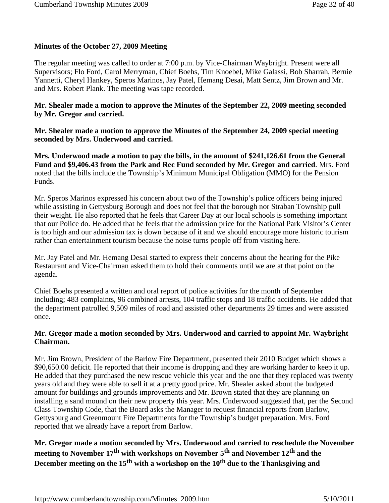# **Minutes of the October 27, 2009 Meeting**

The regular meeting was called to order at 7:00 p.m. by Vice-Chairman Waybright. Present were all Supervisors; Flo Ford, Carol Merryman, Chief Boehs, Tim Knoebel, Mike Galassi, Bob Sharrah, Bernie Yannetti, Cheryl Hankey, Speros Marinos, Jay Patel, Hemang Desai, Matt Sentz, Jim Brown and Mr. and Mrs. Robert Plank. The meeting was tape recorded.

### **Mr. Shealer made a motion to approve the Minutes of the September 22, 2009 meeting seconded by Mr. Gregor and carried.**

**Mr. Shealer made a motion to approve the Minutes of the September 24, 2009 special meeting seconded by Mrs. Underwood and carried.**

**Mrs. Underwood made a motion to pay the bills, in the amount of \$241,126.61 from the General Fund and \$9,406.43 from the Park and Rec Fund seconded by Mr. Gregor and carried**. Mrs. Ford noted that the bills include the Township's Minimum Municipal Obligation (MMO) for the Pension Funds.

Mr. Speros Marinos expressed his concern about two of the Township's police officers being injured while assisting in Gettysburg Borough and does not feel that the borough nor Straban Township pull their weight. He also reported that he feels that Career Day at our local schools is something important that our Police do. He added that he feels that the admission price for the National Park Visitor's Center is too high and our admission tax is down because of it and we should encourage more historic tourism rather than entertainment tourism because the noise turns people off from visiting here.

Mr. Jay Patel and Mr. Hemang Desai started to express their concerns about the hearing for the Pike Restaurant and Vice-Chairman asked them to hold their comments until we are at that point on the agenda.

Chief Boehs presented a written and oral report of police activities for the month of September including; 483 complaints, 96 combined arrests, 104 traffic stops and 18 traffic accidents. He added that the department patrolled 9,509 miles of road and assisted other departments 29 times and were assisted once.

# **Mr. Gregor made a motion seconded by Mrs. Underwood and carried to appoint Mr. Waybright Chairman.**

Mr. Jim Brown, President of the Barlow Fire Department, presented their 2010 Budget which shows a \$90,650.00 deficit. He reported that their income is dropping and they are working harder to keep it up. He added that they purchased the new rescue vehicle this year and the one that they replaced was twenty years old and they were able to sell it at a pretty good price. Mr. Shealer asked about the budgeted amount for buildings and grounds improvements and Mr. Brown stated that they are planning on installing a sand mound on their new property this year. Mrs. Underwood suggested that, per the Second Class Township Code, that the Board asks the Manager to request financial reports from Barlow, Gettysburg and Greenmount Fire Departments for the Township's budget preparation. Mrs. Ford reported that we already have a report from Barlow.

**Mr. Gregor made a motion seconded by Mrs. Underwood and carried to reschedule the November**  meeting to November 17<sup>th</sup> with workshops on November 5<sup>th</sup> and November 12<sup>th</sup> and the December meeting on the 15<sup>th</sup> with a workshop on the 10<sup>th</sup> due to the Thanksgiving and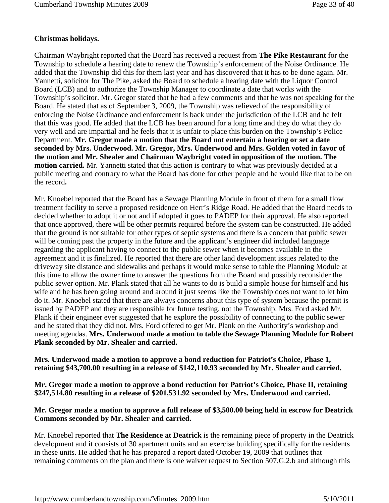# **Christmas holidays.**

Chairman Waybright reported that the Board has received a request from **The Pike Restaurant** for the Township to schedule a hearing date to renew the Township's enforcement of the Noise Ordinance. He added that the Township did this for them last year and has discovered that it has to be done again. Mr. Yannetti, solicitor for The Pike, asked the Board to schedule a hearing date with the Liquor Control Board (LCB) and to authorize the Township Manager to coordinate a date that works with the Township's solicitor. Mr. Gregor stated that he had a few comments and that he was not speaking for the Board. He stated that as of September 3, 2009, the Township was relieved of the responsibility of enforcing the Noise Ordinance and enforcement is back under the jurisdiction of the LCB and he felt that this was good. He added that the LCB has been around for a long time and they do what they do very well and are impartial and he feels that it is unfair to place this burden on the Township's Police Department. **Mr. Gregor made a motion that the Board not entertain a hearing or set a date seconded by Mrs. Underwood. Mr. Gregor, Mrs. Underwood and Mrs. Golden voted in favor of the motion and Mr. Shealer and Chairman Waybright voted in opposition of the motion. The motion carried.** Mr. Yannetti stated that this action is contrary to what was previously decided at a public meeting and contrary to what the Board has done for other people and he would like that to be on the record**.** 

Mr. Knoebel reported that the Board has a Sewage Planning Module in front of them for a small flow treatment facility to serve a proposed residence on Herr's Ridge Road. He added that the Board needs to decided whether to adopt it or not and if adopted it goes to PADEP for their approval. He also reported that once approved, there will be other permits required before the system can be constructed. He added that the ground is not suitable for other types of septic systems and there is a concern that public sewer will be coming past the property in the future and the applicant's engineer did included language regarding the applicant having to connect to the public sewer when it becomes available in the agreement and it is finalized. He reported that there are other land development issues related to the driveway site distance and sidewalks and perhaps it would make sense to table the Planning Module at this time to allow the owner time to answer the questions from the Board and possibly reconsider the public sewer option. Mr. Plank stated that all he wants to do is build a simple house for himself and his wife and he has been going around and around it just seems like the Township does not want to let him do it. Mr. Knoebel stated that there are always concerns about this type of system because the permit is issued by PADEP and they are responsible for future testing, not the Township. Mrs. Ford asked Mr. Plank if their engineer ever suggested that he explore the possibility of connecting to the public sewer and he stated that they did not. Mrs. Ford offered to get Mr. Plank on the Authority's workshop and meeting agendas. **Mrs. Underwood made a motion to table the Sewage Planning Module for Robert Plank seconded by Mr. Shealer and carried.**

**Mrs. Underwood made a motion to approve a bond reduction for Patriot's Choice, Phase 1, retaining \$43,700.00 resulting in a release of \$142,110.93 seconded by Mr. Shealer and carried.**

**Mr. Gregor made a motion to approve a bond reduction for Patriot's Choice, Phase II, retaining \$247,514.80 resulting in a release of \$201,531.92 seconded by Mrs. Underwood and carried.**

# **Mr. Gregor made a motion to approve a full release of \$3,500.00 being held in escrow for Deatrick Commons seconded by Mr. Shealer and carried.**

Mr. Knoebel reported that **The Residence at Deatrick** is the remaining piece of property in the Deatrick development and it consists of 30 apartment units and an exercise building specifically for the residents in these units. He added that he has prepared a report dated October 19, 2009 that outlines that remaining comments on the plan and there is one waiver request to Section 507.G.2.b and although this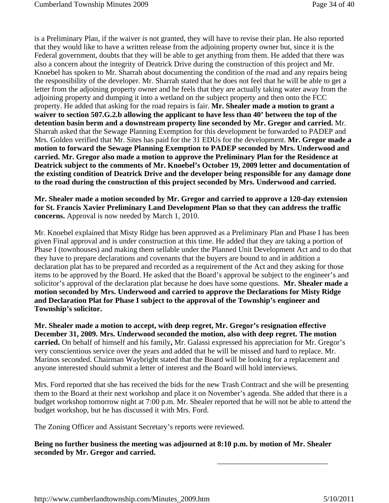is a Preliminary Plan, if the waiver is not granted, they will have to revise their plan. He also reported that they would like to have a written release from the adjoining property owner but, since it is the Federal government, doubts that they will be able to get anything from them. He added that there was also a concern about the integrity of Deatrick Drive during the construction of this project and Mr. Knoebel has spoken to Mr. Sharrah about documenting the condition of the road and any repairs being the responsibility of the developer. Mr. Sharrah stated that he does not feel that he will be able to get a letter from the adjoining property owner and he feels that they are actually taking water away from the adjoining property and dumping it into a wetland on the subject property and then onto the FCC property. He added that asking for the road repairs is fair. **Mr. Shealer made a motion to grant a waiver to section 507.G.2.b allowing the applicant to have less than 40' between the top of the detention basin berm and a downstream property line seconded by Mr. Gregor and carried.** Mr. Sharrah asked that the Sewage Planning Exemption for this development be forwarded to PADEP and Mrs. Golden verified that Mr. Sites has paid for the 31 EDUs for the development. **Mr. Gregor made a motion to forward the Sewage Planning Exemption to PADEP seconded by Mrs. Underwood and carried. Mr. Gregor also made a motion to approve the Preliminary Plan for the Residence at Deatrick subject to the comments of Mr. Knoebel's October 19, 2009 letter and documentation of the existing condition of Deatrick Drive and the developer being responsible for any damage done to the road during the construction of this project seconded by Mrs. Underwood and carried.**

**Mr. Shealer made a motion seconded by Mr. Gregor and carried to approve a 120-day extension for St. Francis Xavier Preliminary Land Development Plan so that they can address the traffic concerns.** Approval is now needed by March 1, 2010.

Mr. Knoebel explained that Misty Ridge has been approved as a Preliminary Plan and Phase I has been given Final approval and is under construction at this time. He added that they are taking a portion of Phase I (townhouses) and making them sellable under the Planned Unit Development Act and to do that they have to prepare declarations and covenants that the buyers are bound to and in addition a declaration plat has to be prepared and recorded as a requirement of the Act and they asking for those items to be approved by the Board. He asked that the Board's approval be subject to the engineer's and solicitor's approval of the declaration plat because he does have some questions. **Mr. Shealer made a motion seconded by Mrs. Underwood and carried to approve the Declarations for Misty Ridge and Declaration Plat for Phase I subject to the approval of the Township's engineer and Township's solicitor.**

**Mr. Shealer made a motion to accept, with deep regret, Mr. Gregor's resignation effective December 31, 2009. Mrs. Underwood seconded the motion, also with deep regret. The motion carried.** On behalf of himself and his family**,** Mr. Galassi expressed his appreciation for Mr. Gregor's very conscientious service over the years and added that he will be missed and hard to replace. Mr. Marinos seconded. Chairman Waybright stated that the Board will be looking for a replacement and anyone interested should submit a letter of interest and the Board will hold interviews.

Mrs. Ford reported that she has received the bids for the new Trash Contract and she will be presenting them to the Board at their next workshop and place it on November's agenda. She added that there is a budget workshop tomorrow night at 7:00 p.m. Mr. Shealer reported that he will not be able to attend the budget workshop, but he has discussed it with Mrs. Ford.

The Zoning Officer and Assistant Secretary's reports were reviewed.

**Being no further business the meeting was adjourned at 8:10 p.m. by motion of Mr. Shealer seconded by Mr. Gregor and carried.**

\_\_\_\_\_\_\_\_\_\_\_\_\_\_\_\_\_\_\_\_\_\_\_\_\_\_\_\_\_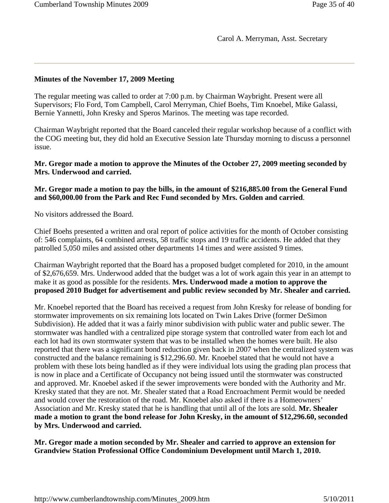# **Minutes of the November 17, 2009 Meeting**

The regular meeting was called to order at 7:00 p.m. by Chairman Waybright. Present were all Supervisors; Flo Ford, Tom Campbell, Carol Merryman, Chief Boehs, Tim Knoebel, Mike Galassi, Bernie Yannetti, John Kresky and Speros Marinos. The meeting was tape recorded.

Chairman Waybright reported that the Board canceled their regular workshop because of a conflict with the COG meeting but, they did hold an Executive Session late Thursday morning to discuss a personnel issue.

**Mr. Gregor made a motion to approve the Minutes of the October 27, 2009 meeting seconded by Mrs. Underwood and carried.**

# **Mr. Gregor made a motion to pay the bills, in the amount of \$216,885.00 from the General Fund and \$60,000.00 from the Park and Rec Fund seconded by Mrs. Golden and carried**.

No visitors addressed the Board.

Chief Boehs presented a written and oral report of police activities for the month of October consisting of: 546 complaints, 64 combined arrests, 58 traffic stops and 19 traffic accidents. He added that they patrolled 5,050 miles and assisted other departments 14 times and were assisted 9 times.

Chairman Waybright reported that the Board has a proposed budget completed for 2010, in the amount of \$2,676,659. Mrs. Underwood added that the budget was a lot of work again this year in an attempt to make it as good as possible for the residents. **Mrs. Underwood made a motion to approve the proposed 2010 Budget for advertisement and public review seconded by Mr. Shealer and carried.**

Mr. Knoebel reported that the Board has received a request from John Kresky for release of bonding for stormwater improvements on six remaining lots located on Twin Lakes Drive (former DeSimon Subdivision). He added that it was a fairly minor subdivision with public water and public sewer. The stormwater was handled with a centralized pipe storage system that controlled water from each lot and each lot had its own stormwater system that was to be installed when the homes were built. He also reported that there was a significant bond reduction given back in 2007 when the centralized system was constructed and the balance remaining is \$12,296.60. Mr. Knoebel stated that he would not have a problem with these lots being handled as if they were individual lots using the grading plan process that is now in place and a Certificate of Occupancy not being issued until the stormwater was constructed and approved. Mr. Knoebel asked if the sewer improvements were bonded with the Authority and Mr. Kresky stated that they are not. Mr. Shealer stated that a Road Encroachment Permit would be needed and would cover the restoration of the road. Mr. Knoebel also asked if there is a Homeowners' Association and Mr. Kresky stated that he is handling that until all of the lots are sold. **Mr. Shealer made a motion to grant the bond release for John Kresky, in the amount of \$12,296.60, seconded by Mrs. Underwood and carried.** 

**Mr. Gregor made a motion seconded by Mr. Shealer and carried to approve an extension for Grandview Station Professional Office Condominium Development until March 1, 2010.**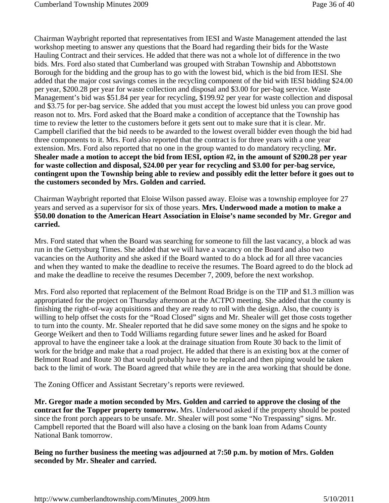Chairman Waybright reported that representatives from IESI and Waste Management attended the last workshop meeting to answer any questions that the Board had regarding their bids for the Waste Hauling Contract and their services. He added that there was not a whole lot of difference in the two bids. Mrs. Ford also stated that Cumberland was grouped with Straban Township and Abbottstown Borough for the bidding and the group has to go with the lowest bid, which is the bid from IESI. She added that the major cost savings comes in the recycling component of the bid with IESI bidding \$24.00 per year, \$200.28 per year for waste collection and disposal and \$3.00 for per-bag service. Waste Management's bid was \$51.84 per year for recycling, \$199.92 per year for waste collection and disposal and \$3.75 for per-bag service. She added that you must accept the lowest bid unless you can prove good reason not to. Mrs. Ford asked that the Board make a condition of acceptance that the Township has time to review the letter to the customers before it gets sent out to make sure that it is clear. Mr. Campbell clarified that the bid needs to be awarded to the lowest overall bidder even though the bid had three components to it. Mrs. Ford also reported that the contract is for three years with a one year extension. Mrs. Ford also reported that no one in the group wanted to do mandatory recycling. **Mr. Shealer made a motion to accept the bid from IESI, option #2, in the amount of \$200.28 per year for waste collection and disposal, \$24.00 per year for recycling and \$3.00 for per-bag service, contingent upon the Township being able to review and possibly edit the letter before it goes out to the customers seconded by Mrs. Golden and carried.** 

Chairman Waybright reported that Eloise Wilson passed away. Eloise was a township employee for 27 years and served as a supervisor for six of those years. **Mrs. Underwood made a motion to make a \$50.00 donation to the American Heart Association in Eloise's name seconded by Mr. Gregor and carried.**

Mrs. Ford stated that when the Board was searching for someone to fill the last vacancy, a block ad was run in the Gettysburg Times. She added that we will have a vacancy on the Board and also two vacancies on the Authority and she asked if the Board wanted to do a block ad for all three vacancies and when they wanted to make the deadline to receive the resumes. The Board agreed to do the block ad and make the deadline to receive the resumes December 7, 2009, before the next workshop.

Mrs. Ford also reported that replacement of the Belmont Road Bridge is on the TIP and \$1.3 million was appropriated for the project on Thursday afternoon at the ACTPO meeting. She added that the county is finishing the right-of-way acquisitions and they are ready to roll with the design. Also, the county is willing to help offset the costs for the "Road Closed" signs and Mr. Shealer will get those costs together to turn into the county. Mr. Shealer reported that he did save some money on the signs and he spoke to George Weikert and then to Todd Williams regarding future sewer lines and he asked for Board approval to have the engineer take a look at the drainage situation from Route 30 back to the limit of work for the bridge and make that a road project. He added that there is an existing box at the corner of Belmont Road and Route 30 that would probably have to be replaced and then piping would be taken back to the limit of work. The Board agreed that while they are in the area working that should be done.

The Zoning Officer and Assistant Secretary's reports were reviewed.

**Mr. Gregor made a motion seconded by Mrs. Golden and carried to approve the closing of the contract for the Topper property tomorrow.** Mrs. Underwood asked if the property should be posted since the front porch appears to be unsafe. Mr. Shealer will post some "No Trespassing" signs. Mr. Campbell reported that the Board will also have a closing on the bank loan from Adams County National Bank tomorrow.

**Being no further business the meeting was adjourned at 7:50 p.m. by motion of Mrs. Golden seconded by Mr. Shealer and carried.**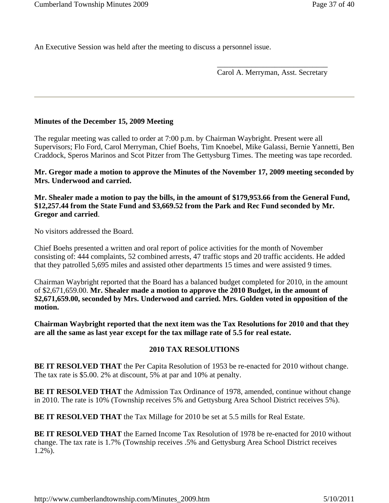An Executive Session was held after the meeting to discuss a personnel issue.

\_\_\_\_\_\_\_\_\_\_\_\_\_\_\_\_\_\_\_\_\_\_\_\_\_\_\_\_\_ Carol A. Merryman, Asst. Secretary

# **Minutes of the December 15, 2009 Meeting**

The regular meeting was called to order at 7:00 p.m. by Chairman Waybright. Present were all Supervisors; Flo Ford, Carol Merryman, Chief Boehs, Tim Knoebel, Mike Galassi, Bernie Yannetti, Ben Craddock, Speros Marinos and Scot Pitzer from The Gettysburg Times. The meeting was tape recorded.

**Mr. Gregor made a motion to approve the Minutes of the November 17, 2009 meeting seconded by Mrs. Underwood and carried.**

**Mr. Shealer made a motion to pay the bills, in the amount of \$179,953.66 from the General Fund, \$12,257.44 from the State Fund and \$3,669.52 from the Park and Rec Fund seconded by Mr. Gregor and carried**.

No visitors addressed the Board.

Chief Boehs presented a written and oral report of police activities for the month of November consisting of: 444 complaints, 52 combined arrests, 47 traffic stops and 20 traffic accidents. He added that they patrolled 5,695 miles and assisted other departments 15 times and were assisted 9 times.

Chairman Waybright reported that the Board has a balanced budget completed for 2010, in the amount of \$2,671,659.00. **Mr. Shealer made a motion to approve the 2010 Budget, in the amount of \$2,671,659.00, seconded by Mrs. Underwood and carried. Mrs. Golden voted in opposition of the motion.**

**Chairman Waybright reported that the next item was the Tax Resolutions for 2010 and that they are all the same as last year except for the tax millage rate of 5.5 for real estate.** 

# **2010 TAX RESOLUTIONS**

**BE IT RESOLVED THAT** the Per Capita Resolution of 1953 be re-enacted for 2010 without change. The tax rate is \$5.00. 2% at discount, 5% at par and 10% at penalty.

**BE IT RESOLVED THAT** the Admission Tax Ordinance of 1978, amended, continue without change in 2010. The rate is 10% (Township receives 5% and Gettysburg Area School District receives 5%).

**BE IT RESOLVED THAT** the Tax Millage for 2010 be set at 5.5 mills for Real Estate.

**BE IT RESOLVED THAT** the Earned Income Tax Resolution of 1978 be re-enacted for 2010 without change. The tax rate is 1.7% (Township receives .5% and Gettysburg Area School District receives 1.2%).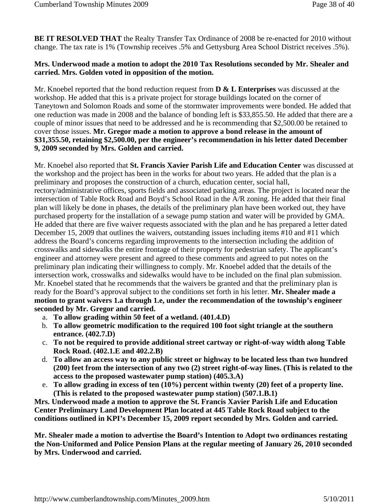**BE IT RESOLVED THAT** the Realty Transfer Tax Ordinance of 2008 be re-enacted for 2010 without change. The tax rate is 1% (Township receives .5% and Gettysburg Area School District receives .5%).

## **Mrs. Underwood made a motion to adopt the 2010 Tax Resolutions seconded by Mr. Shealer and carried. Mrs. Golden voted in opposition of the motion.**

Mr. Knoebel reported that the bond reduction request from **D & L Enterprises** was discussed at the workshop. He added that this is a private project for storage buildings located on the corner of Taneytown and Solomon Roads and some of the stormwater improvements were bonded. He added that one reduction was made in 2008 and the balance of bonding left is \$33,855.50. He added that there are a couple of minor issues that need to be addressed and he is recommending that \$2,500.00 be retained to cover those issues. **Mr. Gregor made a motion to approve a bond release in the amount of \$31,355.50, retaining \$2,500.00, per the engineer's recommendation in his letter dated December 9, 2009 seconded by Mrs. Golden and carried.**

Mr. Knoebel also reported that **St. Francis Xavier Parish Life and Education Center** was discussed at the workshop and the project has been in the works for about two years. He added that the plan is a preliminary and proposes the construction of a church, education center, social hall, rectory/administrative offices, sports fields and associated parking areas. The project is located near the intersection of Table Rock Road and Boyd's School Road in the A/R zoning. He added that their final plan will likely be done in phases, the details of the preliminary plan have been worked out, they have purchased property for the installation of a sewage pump station and water will be provided by GMA. He added that there are five waiver requests associated with the plan and he has prepared a letter dated December 15, 2009 that outlines the waivers, outstanding issues including items #10 and #11 which address the Board's concerns regarding improvements to the intersection including the addition of crosswalks and sidewalks the entire frontage of their property for pedestrian safety. The applicant's engineer and attorney were present and agreed to these comments and agreed to put notes on the preliminary plan indicating their willingness to comply. Mr. Knoebel added that the details of the intersection work, crosswalks and sidewalks would have to be included on the final plan submission. Mr. Knoebel stated that he recommends that the waivers be granted and that the preliminary plan is ready for the Board's approval subject to the conditions set forth in his letter. **Mr. Shealer made a motion to grant waivers 1.a through 1.e, under the recommendation of the township's engineer seconded by Mr. Gregor and carried.**

- a. **To allow grading within 50 feet of a wetland. (401.4.D)**
- b. **To allow geometric modification to the required 100 foot sight triangle at the southern entrance. (402.7.D)**
- c. **To not be required to provide additional street cartway or right-of-way width along Table Rock Road. (402.1.E and 402.2.B)**
- d. **To allow an access way to any public street or highway to be located less than two hundred (200) feet from the intersection of any two (2) street right-of-way lines. (This is related to the access to the proposed wastewater pump station) (405.3.A)**
- e. **To allow grading in excess of ten (10%) percent within twenty (20) feet of a property line. (This is related to the proposed wastewater pump station) (507.1.B.1)**

**Mrs. Underwood made a motion to approve the St. Francis Xavier Parish Life and Education Center Preliminary Land Development Plan located at 445 Table Rock Road subject to the conditions outlined in KPI's December 15, 2009 report seconded by Mrs. Golden and carried.** 

**Mr. Shealer made a motion to advertise the Board's Intention to Adopt two ordinances restating the Non-Uniformed and Police Pension Plans at the regular meeting of January 26, 2010 seconded by Mrs. Underwood and carried.**